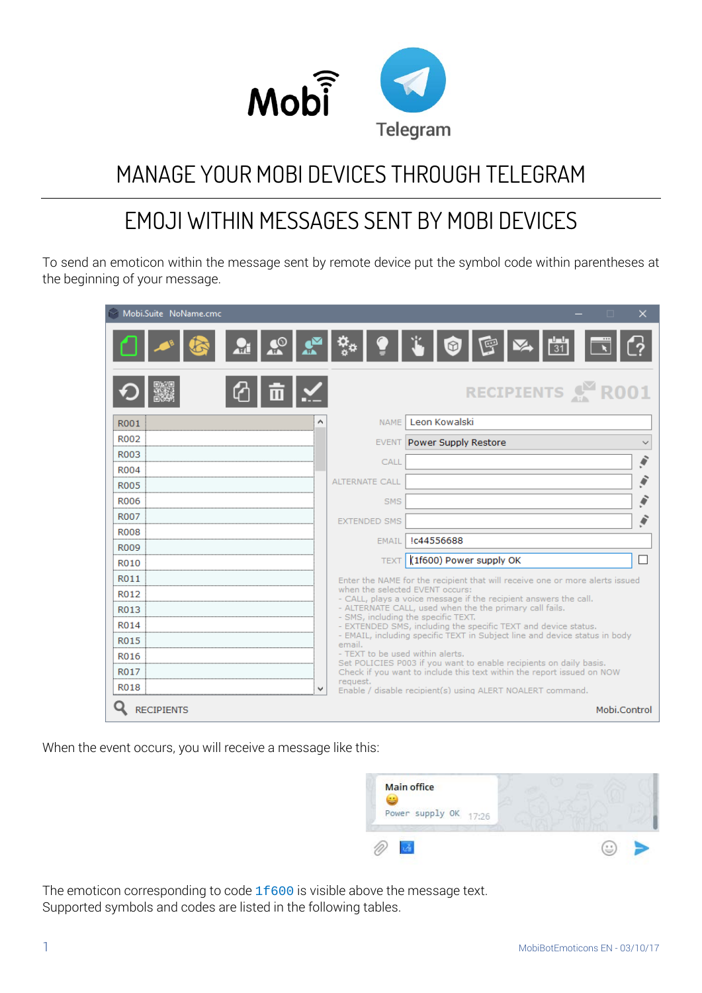

# MANAGE YOUR MOBI DEVICES THROUGH TELEGRAM

## EMOJI WITHIN MESSAGES SENT BY MOBI DEVICES

To send an emoticon within the message sent by remote device put the symbol code within parentheses at the beginning of your message.

| Mobi.Suite NoName.cmc |                       | ×<br>п                                                                                                                                       |
|-----------------------|-----------------------|----------------------------------------------------------------------------------------------------------------------------------------------|
| $\frac{1}{2}$         | $ \Phi_{\alpha} $     | $\frac{1}{31}$<br>匣<br>। © ।                                                                                                                 |
|                       |                       | RECIPIENTS & R001                                                                                                                            |
| R001                  |                       | NAME Leon Kowalski                                                                                                                           |
| R002                  |                       | EVENT Power Supply Restore                                                                                                                   |
| R003                  | CALL                  |                                                                                                                                              |
| R004                  |                       |                                                                                                                                              |
| <b>R005</b>           | <b>ALTERNATE CALL</b> |                                                                                                                                              |
| <b>R006</b>           |                       | SMS                                                                                                                                          |
| <b>R007</b>           | <b>EXTENDED SMS</b>   |                                                                                                                                              |
| <b>R008</b>           | <b>EMAIL</b>          | Ic44556688                                                                                                                                   |
| <b>R009</b>           |                       |                                                                                                                                              |
| R010                  |                       | TEXT (1f600) Power supply OK                                                                                                                 |
| R011                  |                       | Enter the NAME for the recipient that will receive one or more alerts issued<br>when the selected EVENT occurs:                              |
| R012                  |                       | - CALL, plays a voice message if the recipient answers the call.                                                                             |
| R013                  |                       | - ALTERNATE CALL, used when the the primary call fails.<br>- SMS, including the specific TEXT.                                               |
| R014                  |                       | - EXTENDED SMS, including the specific TEXT and device status.<br>- EMAIL, including specific TEXT in Subject line and device status in body |
| R015                  | email.                |                                                                                                                                              |
| R016                  |                       | - TEXT to be used within alerts.<br>Set POLICIES P003 if you want to enable recipients on daily basis.                                       |
| R017                  | request.              | Check if you want to include this text within the report issued on NOW                                                                       |
| R018                  |                       | Enable / disable recipient(s) using ALERT NOALERT command.                                                                                   |
| <b>RECIPIENTS</b>     |                       | Mobi.Control                                                                                                                                 |

When the event occurs, you will receive a message like this:



The emoticon corresponding to code  $1f600$  is visible above the message text. Supported symbols and codes are listed in the following tables.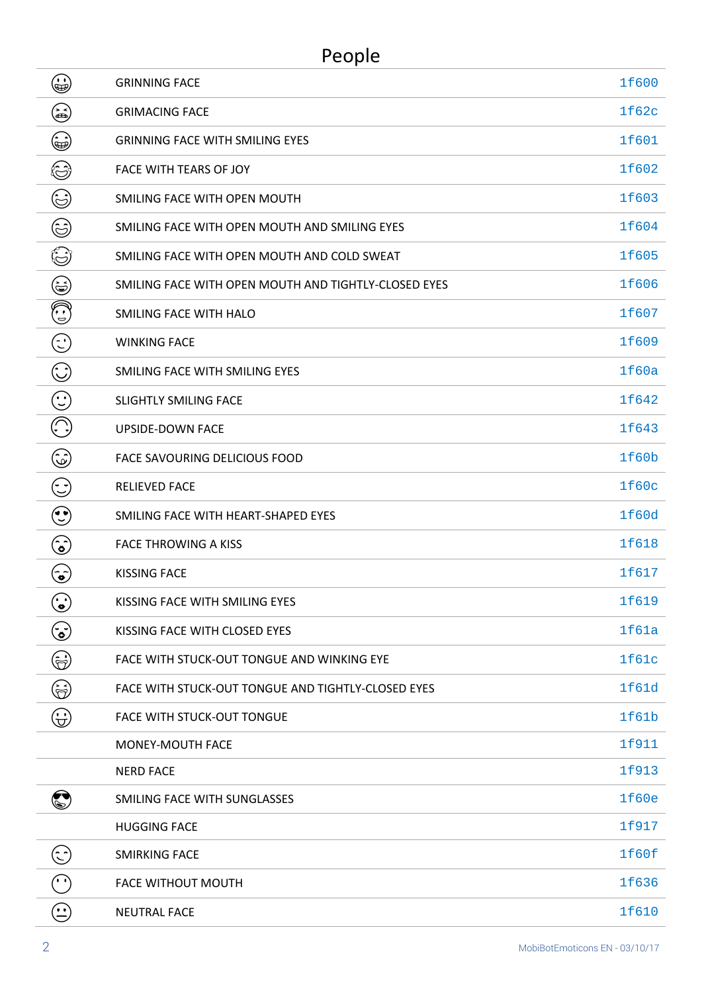| ٤                                 | <b>GRINNING FACE</b>                                 | 1f600 |
|-----------------------------------|------------------------------------------------------|-------|
| ٤                                 | <b>GRIMACING FACE</b>                                | 1f62c |
| ۲                                 | <b>GRINNING FACE WITH SMILING EYES</b>               | 1f601 |
| ٢                                 | FACE WITH TEARS OF JOY                               | 1f602 |
| ٢                                 | SMILING FACE WITH OPEN MOUTH                         | 1f603 |
| ٢                                 | SMILING FACE WITH OPEN MOUTH AND SMILING EYES        | 1f604 |
| ٤                                 | SMILING FACE WITH OPEN MOUTH AND COLD SWEAT          | 1f605 |
| ٤                                 | SMILING FACE WITH OPEN MOUTH AND TIGHTLY-CLOSED EYES | 1f606 |
| ١                                 | SMILING FACE WITH HALO                               | 1f607 |
| $\odot$                           | <b>WINKING FACE</b>                                  | 1f609 |
| $\mathbb{C}$                      | SMILING FACE WITH SMILING EYES                       | 1f60a |
| $\bigodot$                        | <b>SLIGHTLY SMILING FACE</b>                         | 1f642 |
| $(\hspace{-1.5pt}{\Large \odot})$ | <b>UPSIDE-DOWN FACE</b>                              | 1f643 |
| ٤                                 | FACE SAVOURING DELICIOUS FOOD                        | 1f60b |
| $\mathbb{C}$                      | <b>RELIEVED FACE</b>                                 | 1f60c |
| $\odot$                           | SMILING FACE WITH HEART-SHAPED EYES                  | 1f60d |
| نع)                               | <b>FACE THROWING A KISS</b>                          | 1f618 |
| پخ                                | <b>KISSING FACE</b>                                  | 1f617 |
| $\odot$                           | KISSING FACE WITH SMILING EYES                       | 1f619 |
| $\bf \hat{c}$                     | KISSING FACE WITH CLOSED EYES                        | 1f61a |
| ٤                                 | FACE WITH STUCK-OUT TONGUE AND WINKING EYE           | 1f61c |
| ۲                                 | FACE WITH STUCK-OUT TONGUE AND TIGHTLY-CLOSED EYES   | 1f61d |
| $\bigoplus$                       | <b>FACE WITH STUCK-OUT TONGUE</b>                    | 1f61b |
|                                   | MONEY-MOUTH FACE                                     | 1f911 |
|                                   | <b>NERD FACE</b>                                     | 1f913 |
| $\bm{\mathbb{Q}}$                 | SMILING FACE WITH SUNGLASSES                         | 1f60e |
|                                   | <b>HUGGING FACE</b>                                  | 1f917 |
| $\odot$                           | <b>SMIRKING FACE</b>                                 | 1f60f |
| $(\cdot)$                         | <b>FACE WITHOUT MOUTH</b>                            | 1f636 |
| $\bigodot$                        | <b>NEUTRAL FACE</b>                                  | 1f610 |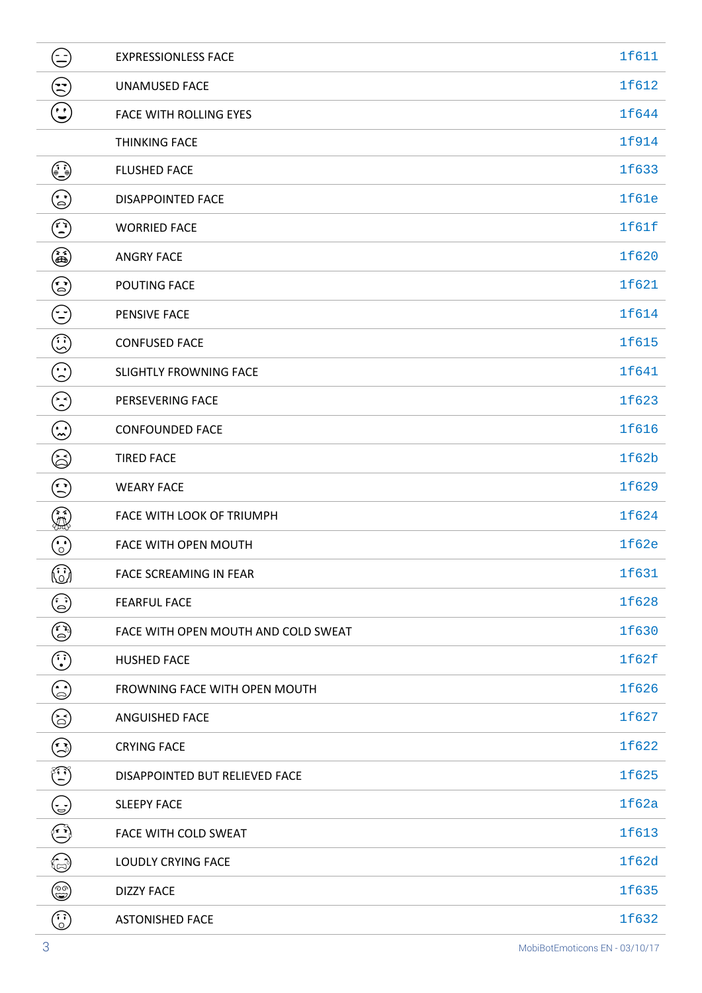| €                                                                                                       | <b>EXPRESSIONLESS FACE</b>          | 1f611 |
|---------------------------------------------------------------------------------------------------------|-------------------------------------|-------|
| $\mathfrak{S}% _{T}=\mathfrak{S}_{T}\!\left( a,b\right) ,\ \mathfrak{S}_{T}=C_{T}\!\left( a,b\right) ,$ | <b>UNAMUSED FACE</b>                | 1f612 |
| $\bigodot$                                                                                              | <b>FACE WITH ROLLING EYES</b>       | 1f644 |
|                                                                                                         | <b>THINKING FACE</b>                | 1f914 |
| ♦                                                                                                       | <b>FLUSHED FACE</b>                 | 1f633 |
| $\odot$                                                                                                 | <b>DISAPPOINTED FACE</b>            | 1f61e |
| ٥                                                                                                       | <b>WORRIED FACE</b>                 | 1f61f |
| ۵                                                                                                       | <b>ANGRY FACE</b>                   | 1f620 |
| $\odot$                                                                                                 | POUTING FACE                        | 1f621 |
| $\odot$                                                                                                 | PENSIVE FACE                        | 1f614 |
| $\mathbb{G}% _{M_{1},M_{2}}^{\alpha,\beta}$                                                             | <b>CONFUSED FACE</b>                | 1f615 |
| $\odot$                                                                                                 | <b>SLIGHTLY FROWNING FACE</b>       | 1f641 |
| $\odot$                                                                                                 | PERSEVERING FACE                    | 1f623 |
| $\mathbf{C}$                                                                                            | <b>CONFOUNDED FACE</b>              | 1f616 |
| کچأ                                                                                                     | <b>TIRED FACE</b>                   | 1f62b |
| $\odot$                                                                                                 | <b>WEARY FACE</b>                   | 1f629 |
| ٤                                                                                                       | FACE WITH LOOK OF TRIUMPH           | 1f624 |
| $\odot$                                                                                                 | FACE WITH OPEN MOUTH                | 1f62e |
| $\odot$                                                                                                 | FACE SCREAMING IN FEAR              | 1f631 |
| ٤                                                                                                       | <b>FEARFUL FACE</b>                 | 1f628 |
| ٥                                                                                                       | FACE WITH OPEN MOUTH AND COLD SWEAT | 1f630 |
| $\odot$                                                                                                 | <b>HUSHED FACE</b>                  | 1f62f |
| ٤                                                                                                       | FROWNING FACE WITH OPEN MOUTH       | 1f626 |
| 6)                                                                                                      | ANGUISHED FACE                      | 1f627 |
| ٣                                                                                                       | <b>CRYING FACE</b>                  | 1f622 |
| ٩                                                                                                       | DISAPPOINTED BUT RELIEVED FACE      | 1f625 |
| (پ)                                                                                                     | <b>SLEEPY FACE</b>                  | 1f62a |
| (پم                                                                                                     | FACE WITH COLD SWEAT                | 1f613 |
| ٤                                                                                                       | <b>LOUDLY CRYING FACE</b>           | 1f62d |
| ۴                                                                                                       | <b>DIZZY FACE</b>                   | 1f635 |
| $\binom{5}{2}$                                                                                          | <b>ASTONISHED FACE</b>              | 1f632 |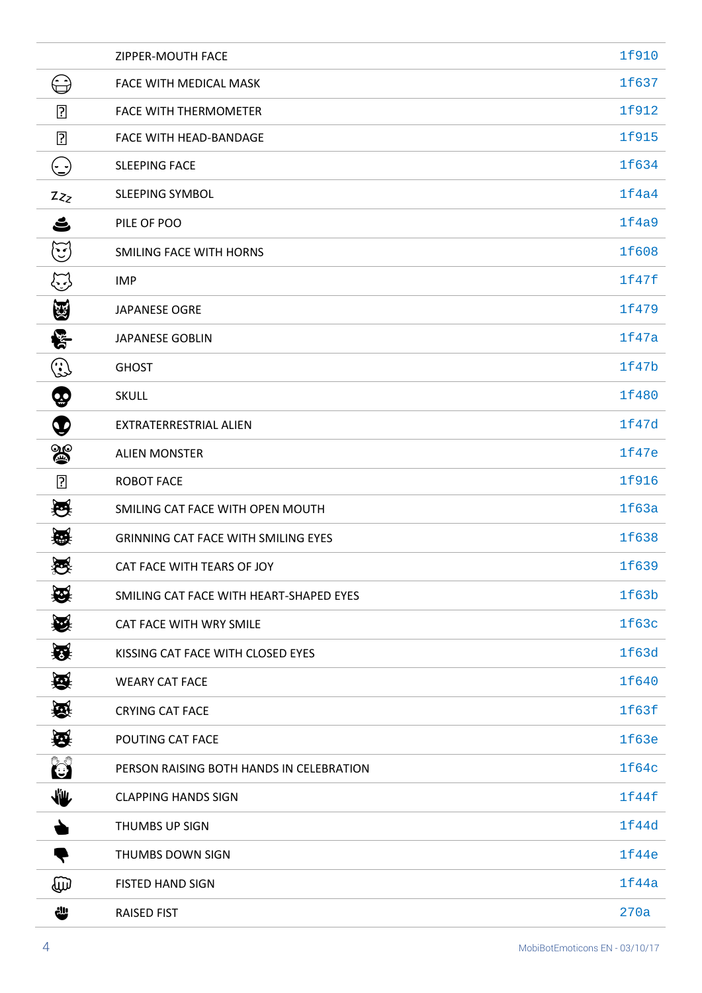|                                    | ZIPPER-MOUTH FACE                          | 1f910 |
|------------------------------------|--------------------------------------------|-------|
| ⊖                                  | FACE WITH MEDICAL MASK                     | 1f637 |
| $\overline{?}$                     | <b>FACE WITH THERMOMETER</b>               | 1f912 |
| $\overline{?}$                     | FACE WITH HEAD-BANDAGE                     | 1f915 |
| $\left(\frac{\cdot}{\cdot}\right)$ | <b>SLEEPING FACE</b>                       | 1f634 |
| Zz                                 | SLEEPING SYMBOL                            | 1f4a4 |
| ے                                  | PILE OF POO                                | 1f4a9 |
| $\mathbb{G}% _{\mathbb{Z}}$        | SMILING FACE WITH HORNS                    | 1f608 |
| Œ                                  | <b>IMP</b>                                 | 1f47f |
| U                                  | <b>JAPANESE OGRE</b>                       | 1f479 |
| 쭎                                  | <b>JAPANESE GOBLIN</b>                     | 1f47a |
| ٤                                  | <b>GHOST</b>                               | 1f47b |
| ගු                                 | <b>SKULL</b>                               | 1f480 |
| $\boldsymbol{\Psi}$                | EXTRATERRESTRIAL ALIEN                     | 1f47d |
| $\mathbf{a}$                       | <b>ALIEN MONSTER</b>                       | 1f47e |
| $\overline{?}$                     | <b>ROBOT FACE</b>                          | 1f916 |
| 绶                                  | SMILING CAT FACE WITH OPEN MOUTH           | 1f63a |
| 礟                                  | <b>GRINNING CAT FACE WITH SMILING EYES</b> | 1f638 |
| ₩<br>$\sim$                        | CAT FACE WITH TEARS OF JOY                 | 1f639 |
| ₩                                  | SMILING CAT FACE WITH HEART-SHAPED EYES    | 1f63b |
| ₩                                  | CAT FACE WITH WRY SMILE                    | 1f63c |
| 蚕                                  | KISSING CAT FACE WITH CLOSED EYES          | 1f63d |
| 叠                                  | <b>WEARY CAT FACE</b>                      | 1f640 |
| 愈                                  | <b>CRYING CAT FACE</b>                     | 1f63f |
| 蚕                                  | POUTING CAT FACE                           | 1f63e |
| $\mathbb{C}^2$                     | PERSON RAISING BOTH HANDS IN CELEBRATION   | 1f64c |
| ₩                                  | <b>CLAPPING HANDS SIGN</b>                 | 1f44f |
|                                    | THUMBS UP SIGN                             | 1f44d |
|                                    | THUMBS DOWN SIGN                           | 1f44e |
| መ                                  | <b>FISTED HAND SIGN</b>                    | 1f44a |
| ₩                                  | <b>RAISED FIST</b>                         | 270a  |
|                                    |                                            |       |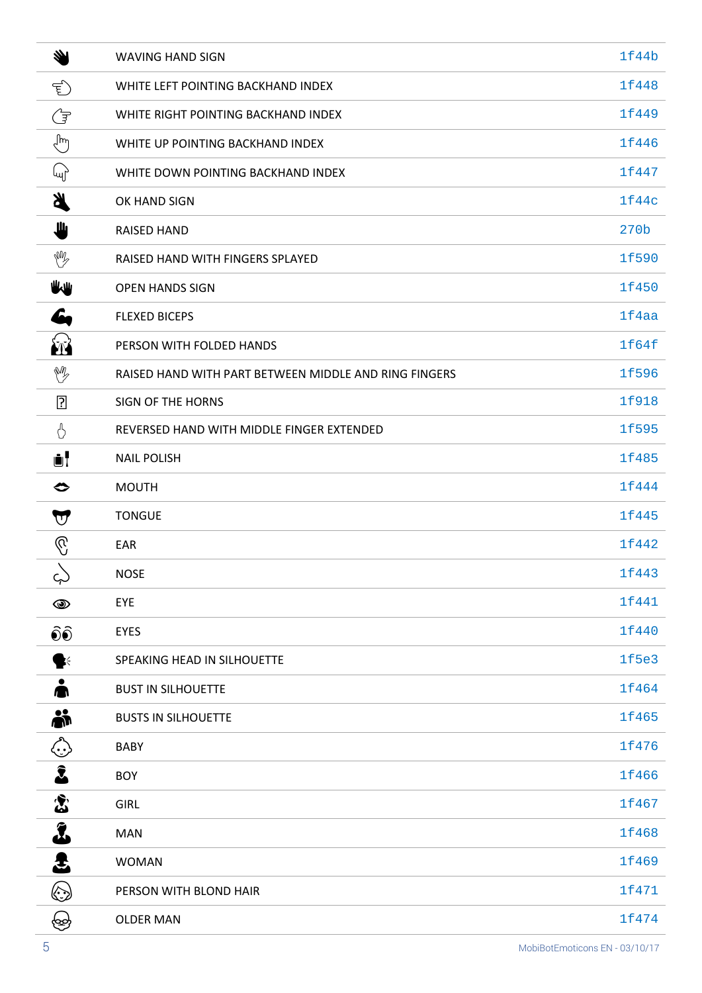| 汤                                    | <b>WAVING HAND SIGN</b>                               | 1f44b            |
|--------------------------------------|-------------------------------------------------------|------------------|
| Ê                                    | WHITE LEFT POINTING BACKHAND INDEX                    | 1f448            |
| G                                    | WHITE RIGHT POINTING BACKHAND INDEX                   | 1f449            |
| ᢤᡃ                                   | WHITE UP POINTING BACKHAND INDEX                      | 1f446            |
| ա)                                   | WHITE DOWN POINTING BACKHAND INDEX                    | 1f447            |
| <b>K</b>                             | OK HAND SIGN                                          | 1f44c            |
| Щ                                    | <b>RAISED HAND</b>                                    | 270 <sub>b</sub> |
| W                                    | RAISED HAND WITH FINGERS SPLAYED                      | 1f590            |
| ₩₩                                   | <b>OPEN HANDS SIGN</b>                                | 1f450            |
| 6                                    | <b>FLEXED BICEPS</b>                                  | 1f4aa            |
| ÉN                                   | PERSON WITH FOLDED HANDS                              | 1f64f            |
| M                                    | RAISED HAND WITH PART BETWEEN MIDDLE AND RING FINGERS | 1f596            |
| $\boxed{?}$                          | <b>SIGN OF THE HORNS</b>                              | 1f918            |
| ᢢ                                    | REVERSED HAND WITH MIDDLE FINGER EXTENDED             | 1f595            |
| ÙĪ                                   | <b>NAIL POLISH</b>                                    | 1f485            |
| ◇                                    | <b>MOUTH</b>                                          | 1f444            |
| $\bigtriangledown$                   | <b>TONGUE</b>                                         | 1f445            |
| $\mathbb{C}$                         | EAR                                                   | 1f442            |
| ς)                                   | <b>NOSE</b>                                           | 1f443            |
| $\circledcirc$                       | EYE                                                   | 1f441            |
| $\widehat{\bullet}\widehat{\bullet}$ | <b>EYES</b>                                           | 1f440            |
| $\geq$                               | SPEAKING HEAD IN SILHOUETTE                           | 1f5e3            |
|                                      | <b>BUST IN SILHOUETTE</b>                             | 1f464            |
| Å                                    | <b>BUSTS IN SILHOUETTE</b>                            | 1f465            |
| ٤                                    | <b>BABY</b>                                           | 1f476            |
| $\hat{\mathbf{z}}$                   | <b>BOY</b>                                            | 1f466            |
| $\boldsymbol{\hat{\Sigma}}$          | <b>GIRL</b>                                           | 1f467            |
| Ĵ                                    | <b>MAN</b>                                            | 1f468            |
| 2                                    | <b>WOMAN</b>                                          | 1f469            |
| ۞                                    | PERSON WITH BLOND HAIR                                | 1f471            |
| ණි                                   | <b>OLDER MAN</b>                                      | 1f474            |
|                                      |                                                       |                  |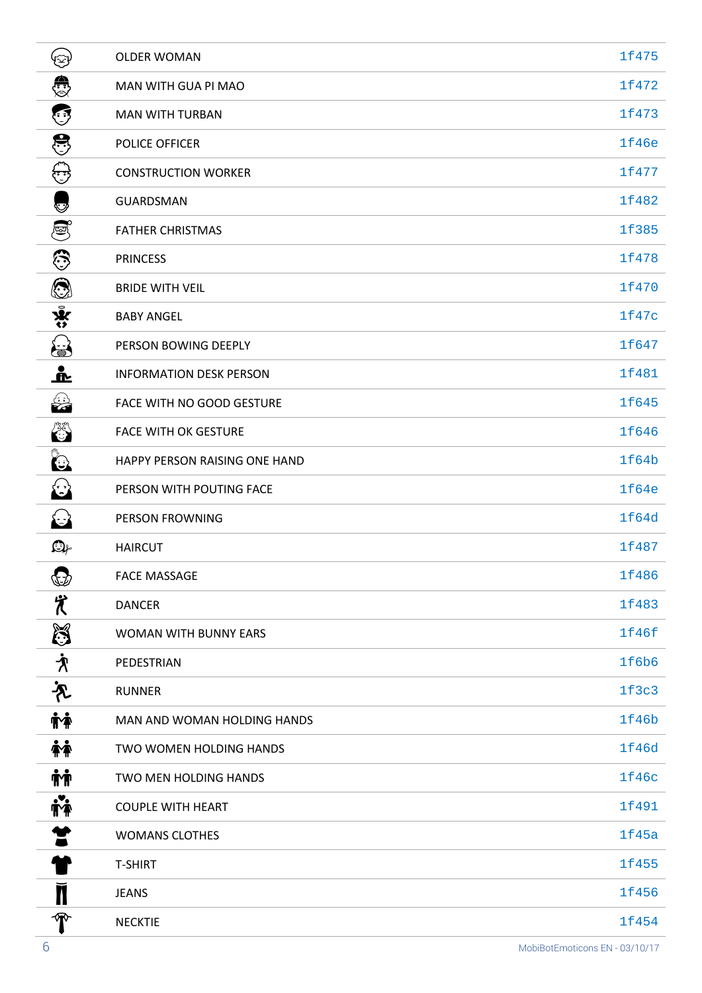| ઉૐ                                       | <b>OLDER WOMAN</b>             | 1f475        |
|------------------------------------------|--------------------------------|--------------|
| €                                        | MAN WITH GUA PI MAO            | 1f472        |
| ٢                                        | <b>MAN WITH TURBAN</b>         | 1f473        |
| 8                                        | POLICE OFFICER                 | <b>1f46e</b> |
| ₩                                        | <b>CONSTRUCTION WORKER</b>     | 1f477        |
| V                                        | <b>GUARDSMAN</b>               | 1f482        |
| ම්                                       | <b>FATHER CHRISTMAS</b>        | 1f385        |
| €                                        | <b>PRINCESS</b>                | 1f478        |
| ۱                                        | <b>BRIDE WITH VEIL</b>         | 1f470        |
| $\mathbf{\hat{y}}$                       | <b>BABY ANGEL</b>              | 1f47c        |
| 蛋                                        | PERSON BOWING DEEPLY           | 1f647        |
| <u>__</u>                                | <b>INFORMATION DESK PERSON</b> | 1f481        |
| ૂ<br>સંદે                                | FACE WITH NO GOOD GESTURE      | 1f645        |
| <b>ARAN</b>                              | <b>FACE WITH OK GESTURE</b>    | 1f646        |
| C                                        | HAPPY PERSON RAISING ONE HAND  | 1f64b        |
| $\bigodot$                               | PERSON WITH POUTING FACE       | 1f64e        |
| $\left(\frac{1}{2}\right)$               | <b>PERSON FROWNING</b>         | 1f64d        |
| $\mathbf{Q}_\text{F}$                    | <b>HAIRCUT</b>                 | 1f487        |
| $\mathbb{G}$                             | <b>FACE MASSAGE</b>            | 1f486        |
| 置                                        | <b>DANCER</b>                  | 1f483        |
| $\mathbb{S}$                             | <b>WOMAN WITH BUNNY EARS</b>   | 1f46f        |
| $\boldsymbol{\dot{\mathcal{X}}}$         | PEDESTRIAN                     | 1f6b6        |
| 齐                                        | <b>RUNNER</b>                  | 1f3c3        |
| <b>İ¥</b>                                | MAN AND WOMAN HOLDING HANDS    | 1f46b        |
| 怦                                        | TWO WOMEN HOLDING HANDS        | 1f46d        |
| <b>ήή</b>                                | TWO MEN HOLDING HANDS          | 1f46c        |
| <b>ive</b>                               | <b>COUPLE WITH HEART</b>       | 1f491        |
| Ĩ                                        | <b>WOMANS CLOTHES</b>          | 1f45a        |
|                                          | <b>T-SHIRT</b>                 | 1f455        |
| N                                        | <b>JEANS</b>                   | 1f456        |
| $\textcolor{red}{\boldsymbol{\text{T}}}$ | <b>NECKTIE</b>                 | 1f454        |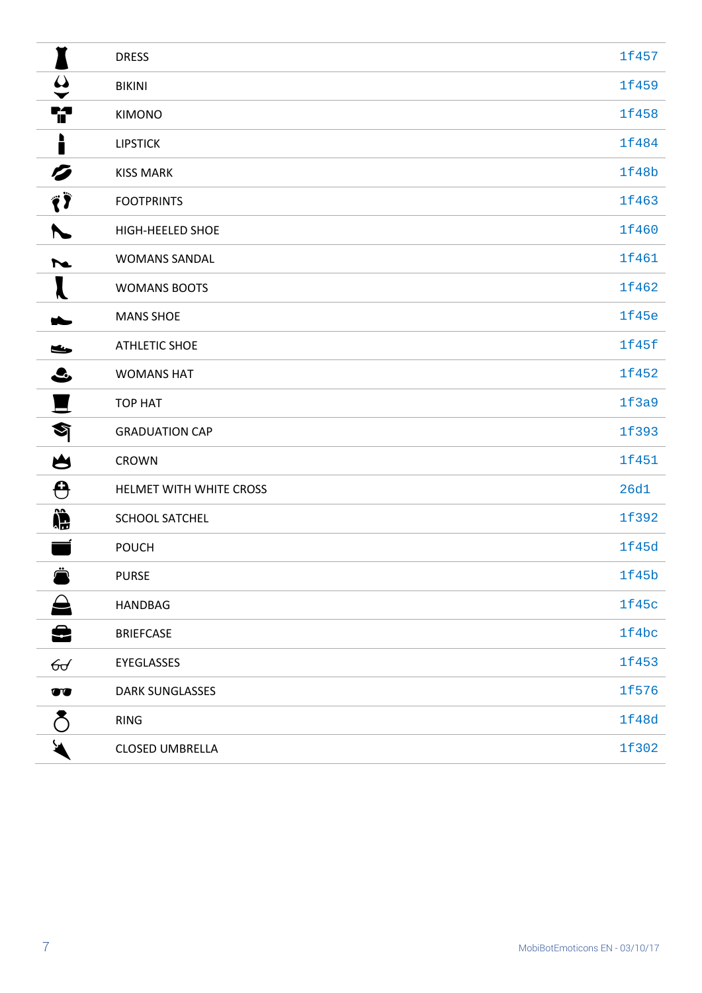|                                       | <b>DRESS</b>            | 1f457       |
|---------------------------------------|-------------------------|-------------|
| $\boldsymbol{\omega}$<br>$\checkmark$ | <b>BIKINI</b>           | 1f459       |
| i?                                    | <b>KIMONO</b>           | 1f458       |
| ∙<br>ī                                | <b>LIPSTICK</b>         | 1f484       |
| Ø                                     | <b>KISS MARK</b>        | 1f48b       |
| Ë)                                    | <b>FOOTPRINTS</b>       | 1f463       |
|                                       | HIGH-HEELED SHOE        | 1f460       |
| $\overline{\phantom{a}}$              | <b>WOMANS SANDAL</b>    | 1f461       |
|                                       | <b>WOMANS BOOTS</b>     | 1f462       |
|                                       | <b>MANS SHOE</b>        | 1f45e       |
| حنكا                                  | <b>ATHLETIC SHOE</b>    | 1f45f       |
| $\bullet$                             | <b>WOMANS HAT</b>       | 1f452       |
|                                       | <b>TOP HAT</b>          | 1f3a9       |
| $\bullet$                             | <b>GRADUATION CAP</b>   | 1f393       |
| 凶                                     | <b>CROWN</b>            | 1f451       |
| ⊖                                     | HELMET WITH WHITE CROSS | <b>26d1</b> |
| Î                                     | SCHOOL SATCHEL          | 1f392       |
|                                       | <b>POUCH</b>            | 1f45d       |
| ∸                                     | <b>PURSE</b>            | 1f45b       |
|                                       | HANDBAG                 | 1f45c       |
| 윤                                     | <b>BRIEFCASE</b>        | 1f4bc       |
| ᠪᡉ                                    | EYEGLASSES              | 1f453       |
| $\bullet\bullet$                      | DARK SUNGLASSES         | 1f576       |
| δ                                     | <b>RING</b>             | 1f48d       |
|                                       | CLOSED UMBRELLA         | 1f302       |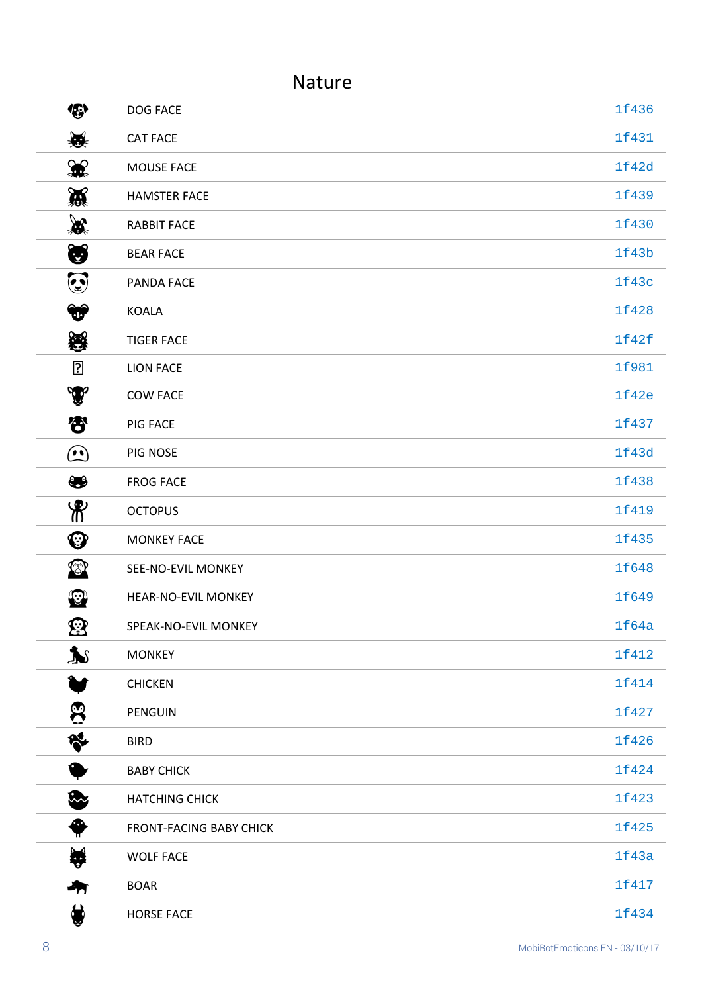|                       | <b>Nature</b>                  |       |
|-----------------------|--------------------------------|-------|
| 修                     | <b>DOG FACE</b>                | 1f436 |
| 赛                     | <b>CAT FACE</b>                | 1f431 |
| 黑                     | MOUSE FACE                     | 1f42d |
| 赏                     | <b>HAMSTER FACE</b>            | 1f439 |
| ₩                     | <b>RABBIT FACE</b>             | 1f430 |
| U                     | <b>BEAR FACE</b>               | 1f43b |
| $\odot$               | PANDA FACE                     | 1f43c |
| $\bigcirc$            | <b>KOALA</b>                   | 1f428 |
| 戀                     | <b>TIGER FACE</b>              | 1f42f |
| $\overline{?}$        | <b>LION FACE</b>               | 1f981 |
| Y                     | <b>COW FACE</b>                | 1f42e |
| 兮                     | PIG FACE                       | 1f437 |
| $\bm{\Omega}$         | PIG NOSE                       | 1f43d |
| ❤                     | <b>FROG FACE</b>               | 1f438 |
| $\mathcal{R}$         | <b>OCTOPUS</b>                 | 1f419 |
| ❤                     | <b>MONKEY FACE</b>             | 1f435 |
| ❤                     | SEE-NO-EVIL MONKEY             | 1f648 |
| $\odot$               | HEAR-NO-EVIL MONKEY            | 1f649 |
| 宻                     | SPEAK-NO-EVIL MONKEY           | 1f64a |
| $\blacktriangleright$ | <b>MONKEY</b>                  | 1f412 |
|                       | <b>CHICKEN</b>                 | 1f414 |
| පි                    | PENGUIN                        | 1f427 |
| R                     | <b>BIRD</b>                    | 1f426 |
| ●                     | <b>BABY CHICK</b>              | 1f424 |
| r.                    | <b>HATCHING CHICK</b>          | 1f423 |
| ❸<br>╥                | <b>FRONT-FACING BABY CHICK</b> | 1f425 |
| ₩                     | <b>WOLF FACE</b>               | 1f43a |
| 石                     | <b>BOAR</b>                    | 1f417 |
| ₩                     | <b>HORSE FACE</b>              | 1f434 |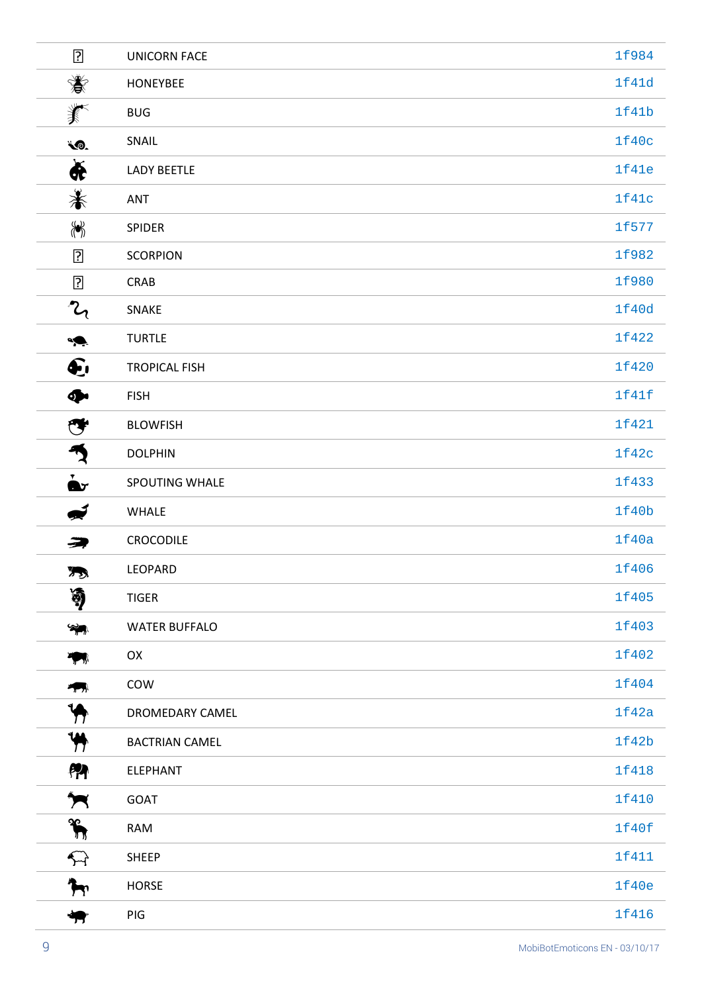| $\overline{?}$                                                                                  | <b>UNICORN FACE</b>   | 1f984 |
|-------------------------------------------------------------------------------------------------|-----------------------|-------|
| 赏                                                                                               | <b>HONEYBEE</b>       | 1f41d |
| 养                                                                                               | <b>BUG</b>            | 1f41b |
| LO.                                                                                             | SNAIL                 | 1f40c |
| $\bigstar$                                                                                      | <b>LADY BEETLE</b>    | 1f41e |
| 眷                                                                                               | <b>ANT</b>            | 1f41c |
| $\left\langle \hspace{-1.2cm} \left\langle \bullet \right\rangle \hspace{-1.2cm} \right\rangle$ | <b>SPIDER</b>         | 1f577 |
| $\overline{?}$                                                                                  | <b>SCORPION</b>       | 1f982 |
| $\overline{?}$                                                                                  | CRAB                  | 1f980 |
| $\mathcal{L}_{\mathcal{A}}$                                                                     | SNAKE                 | 1f40d |
| $\overline{\bullet}$                                                                            | <b>TURTLE</b>         | 1f422 |
| $\sum$                                                                                          | <b>TROPICAL FISH</b>  | 1f420 |
| $\clubsuit$                                                                                     | <b>FISH</b>           | 1f41f |
| ❤                                                                                               | <b>BLOWFISH</b>       | 1f421 |
| $\mathcal{P}$                                                                                   | <b>DOLPHIN</b>        | 1f42c |
| $\mathbf{\dot{a}}$                                                                              | SPOUTING WHALE        | 1f433 |
| Í                                                                                               | WHALE                 | 1f40b |
| <i>€</i>                                                                                        | CROCODILE             | 1f40a |
| 73                                                                                              | LEOPARD               | 1f406 |
| 湧                                                                                               | <b>TIGER</b>          | 1f405 |
| ❤ক                                                                                              | <b>WATER BUFFALO</b>  | 1f403 |
| $\mathcal{F}_{\mathcal{F}}$                                                                     | OX                    | 1f402 |
| $\mathbf{r}_{\text{max}}$                                                                       | COW                   | 1f404 |
| $\blacklozenge$                                                                                 | DROMEDARY CAMEL       | 1f42a |
| $\blacklozenge$                                                                                 | <b>BACTRIAN CAMEL</b> | 1f42b |
| PA                                                                                              | ELEPHANT              | 1f418 |
| $\blacktriangleright$                                                                           | GOAT                  | 1f410 |
| $\sum_{n=1}^{\infty}$                                                                           | <b>RAM</b>            | 1f40f |
| $\bigoplus$                                                                                     | <b>SHEEP</b>          | 1f411 |
| $\mathbf{\mathcal{F}}$                                                                          | <b>HORSE</b>          | 1f40e |
| 号                                                                                               | PIG                   | 1f416 |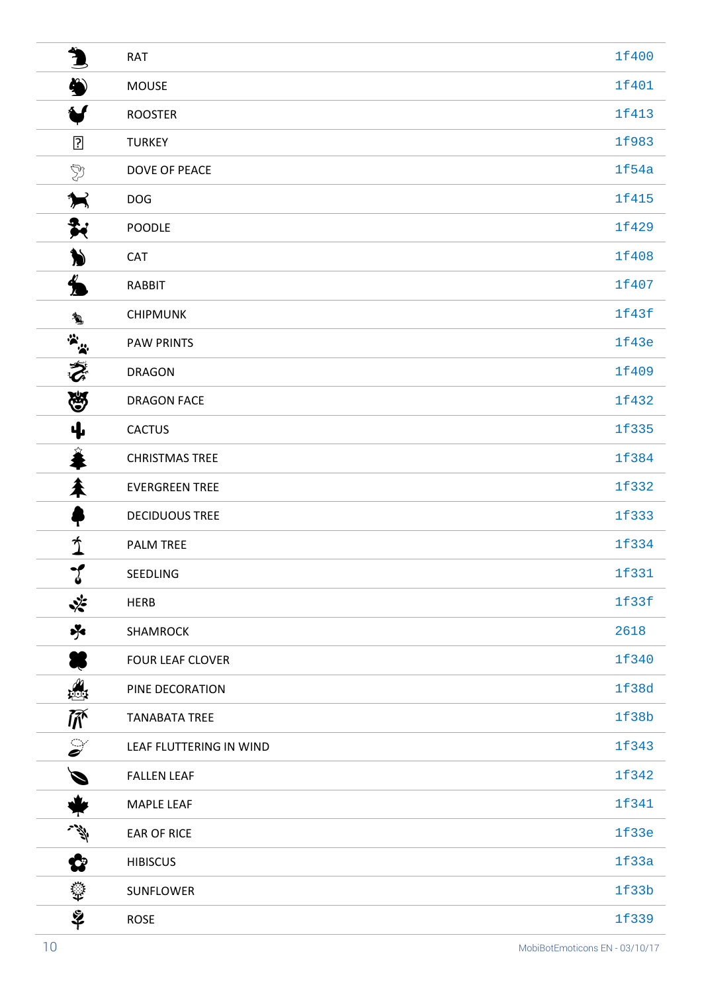| $\blacklozenge$        | <b>RAT</b>              | 1f400 |
|------------------------|-------------------------|-------|
| $\clubsuit$            | <b>MOUSE</b>            | 1f401 |
| ₩                      | <b>ROOSTER</b>          | 1f413 |
| ?                      | <b>TURKEY</b>           | 1f983 |
| Y                      | DOVE OF PEACE           | 1f54a |
| ★                      | <b>DOG</b>              | 1f415 |
| $\frac{1}{2}$          | <b>POODLE</b>           | 1f429 |
| )                      | <b>CAT</b>              | 1f408 |
| $\blacklozenge$        | <b>RABBIT</b>           | 1f407 |
| ł,                     | <b>CHIPMUNK</b>         | 1f43f |
|                        | <b>PAW PRINTS</b>       | 1f43e |
| 家                      | <b>DRAGON</b>           | 1f409 |
| 恩                      | <b>DRAGON FACE</b>      | 1f432 |
| ф.                     | <b>CACTUS</b>           | 1f335 |
| 羞                      | <b>CHRISTMAS TREE</b>   | 1f384 |
| 耒                      | <b>EVERGREEN TREE</b>   | 1f332 |
| т                      | <b>DECIDUOUS TREE</b>   | 1f333 |
| $\gamma$               | <b>PALM TREE</b>        | 1f334 |
| $\cdot$<br>Ý           | <b>SEEDLING</b>         | 1f331 |
| ❖                      | <b>HERB</b>             | 1f33f |
| $\frac{1}{2}$          | <b>SHAMROCK</b>         | 2618  |
|                        | <b>FOUR LEAF CLOVER</b> | 1f340 |
| ₩                      | PINE DECORATION         | 1f38d |
| 不                      | <b>TANABATA TREE</b>    | 1f38b |
| $\mathcal{S}^{\prime}$ | LEAF FLUTTERING IN WIND | 1f343 |
| Ø                      | <b>FALLEN LEAF</b>      | 1f342 |
| ₩                      | <b>MAPLE LEAF</b>       | 1f341 |
| 学                      | <b>EAR OF RICE</b>      | 1f33e |
| ✿                      | <b>HIBISCUS</b>         | 1f33a |
| ♦                      | <b>SUNFLOWER</b>        | 1f33b |
| $\tilde{\mathbf{z}}$   | <b>ROSE</b>             | 1f339 |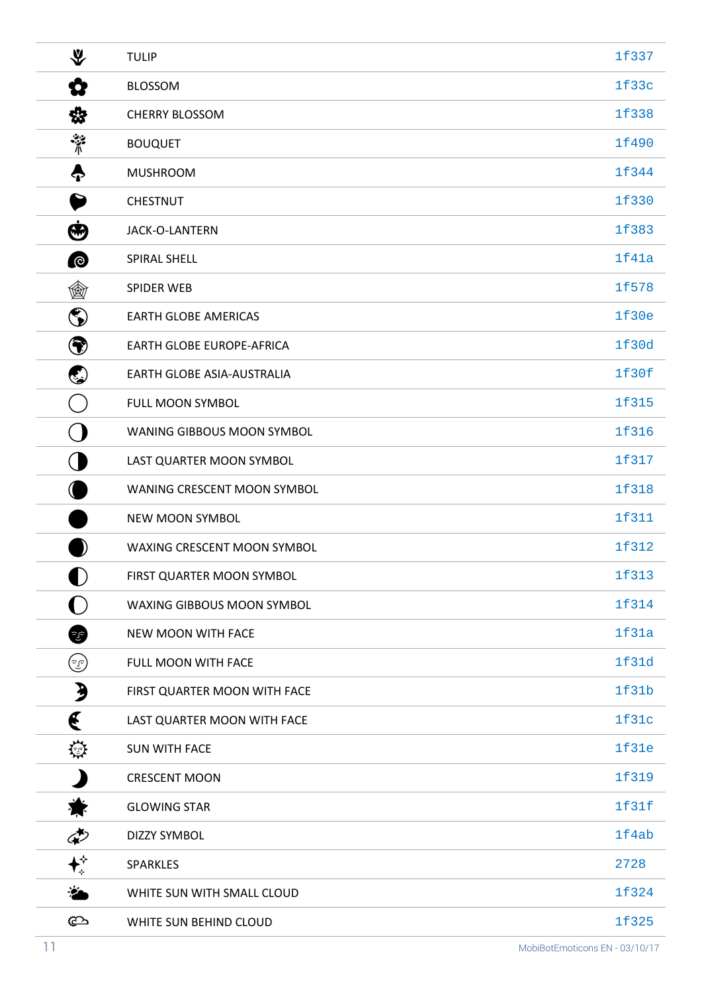| ∜                    | <b>TULIP</b>                     | 1f337 |
|----------------------|----------------------------------|-------|
| Q                    | <b>BLOSSOM</b>                   | 1f33c |
| ☆                    | <b>CHERRY BLOSSOM</b>            | 1f338 |
| چينې<br>\            | <b>BOUQUET</b>                   | 1f490 |
| 0                    | <b>MUSHROOM</b>                  | 1f344 |
|                      | <b>CHESTNUT</b>                  | 1f330 |
| $\bf \bm \Theta$     | JACK-O-LANTERN                   | 1f383 |
| $\bullet$            | SPIRAL SHELL                     | 1f41a |
| 働                    | <b>SPIDER WEB</b>                | 1f578 |
| ۱                    | <b>EARTH GLOBE AMERICAS</b>      | 1f30e |
| ❤                    | <b>EARTH GLOBE EUROPE-AFRICA</b> | 1f30d |
| ٤                    | EARTH GLOBE ASIA-AUSTRALIA       | 1f30f |
|                      | FULL MOON SYMBOL                 | 1f315 |
|                      | WANING GIBBOUS MOON SYMBOL       | 1f316 |
|                      | LAST QUARTER MOON SYMBOL         | 1f317 |
|                      | WANING CRESCENT MOON SYMBOL      | 1f318 |
|                      | NEW MOON SYMBOL                  | 1f311 |
|                      | WAXING CRESCENT MOON SYMBOL      | 1f312 |
| D                    | FIRST QUARTER MOON SYMBOL        | 1f313 |
|                      | WAXING GIBBOUS MOON SYMBOL       | 1f314 |
| Ŧ                    | NEW MOON WITH FACE               | 1f31a |
| ( وی                 | FULL MOON WITH FACE              | 1f31d |
| $\boldsymbol{\beta}$ | FIRST QUARTER MOON WITH FACE     | 1f31b |
| €                    | LAST QUARTER MOON WITH FACE      | 1f31c |
| 辯                    | <b>SUN WITH FACE</b>             | 1f31e |
|                      | <b>CRESCENT MOON</b>             | 1f319 |
| 鸞                    | <b>GLOWING STAR</b>              | 1f31f |
| ආ                    | <b>DIZZY SYMBOL</b>              | 1f4ab |
| ↟                    | <b>SPARKLES</b>                  | 2728  |
| ∵¥                   | WHITE SUN WITH SMALL CLOUD       | 1f324 |
| ¢                    | WHITE SUN BEHIND CLOUD           | 1f325 |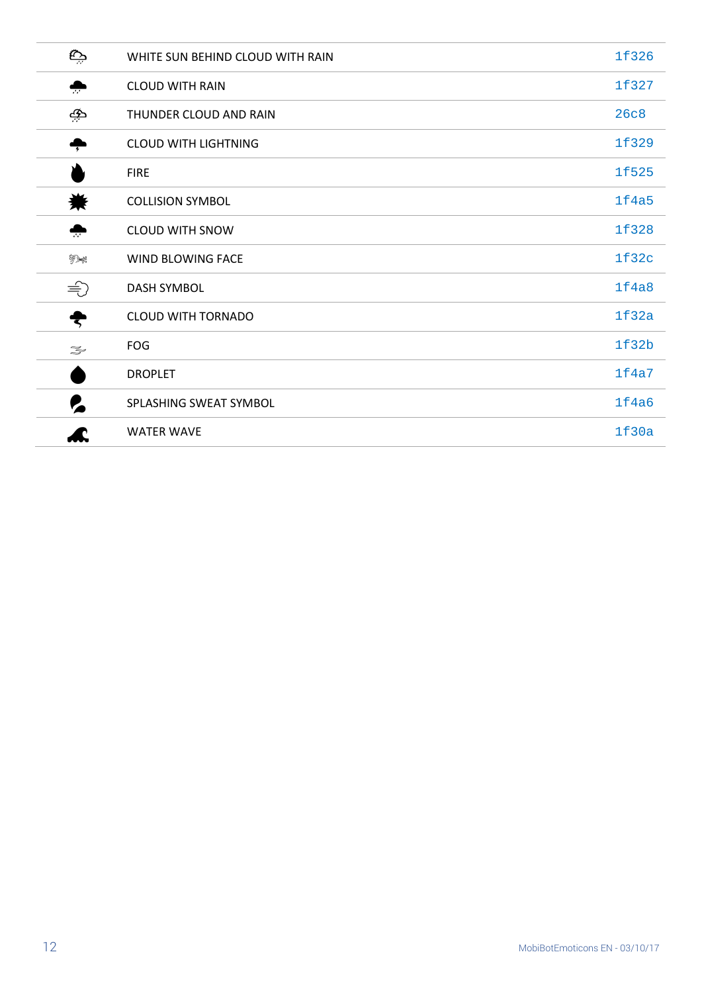| چة                                                                                                                                                                                                                                                                                                                                                  | WHITE SUN BEHIND CLOUD WITH RAIN | 1f326 |
|-----------------------------------------------------------------------------------------------------------------------------------------------------------------------------------------------------------------------------------------------------------------------------------------------------------------------------------------------------|----------------------------------|-------|
| ♣                                                                                                                                                                                                                                                                                                                                                   | <b>CLOUD WITH RAIN</b>           | 1f327 |
| جو                                                                                                                                                                                                                                                                                                                                                  | THUNDER CLOUD AND RAIN           | 26c8  |
| ÷                                                                                                                                                                                                                                                                                                                                                   | <b>CLOUD WITH LIGHTNING</b>      | 1f329 |
|                                                                                                                                                                                                                                                                                                                                                     | <b>FIRE</b>                      | 1f525 |
| 鮝                                                                                                                                                                                                                                                                                                                                                   | <b>COLLISION SYMBOL</b>          | 1f4a5 |
| $\ddot{\cdot}$                                                                                                                                                                                                                                                                                                                                      | <b>CLOUD WITH SNOW</b>           | 1f328 |
| 绿绿                                                                                                                                                                                                                                                                                                                                                  | WIND BLOWING FACE                | 1f32c |
| $\Rightarrow$                                                                                                                                                                                                                                                                                                                                       | <b>DASH SYMBOL</b>               | 1f4a8 |
| ₹                                                                                                                                                                                                                                                                                                                                                   | <b>CLOUD WITH TORNADO</b>        | 1f32a |
| $\begin{picture}(120,15) \put(0,0){\line(1,0){15}} \put(15,0){\line(1,0){15}} \put(15,0){\line(1,0){15}} \put(15,0){\line(1,0){15}} \put(15,0){\line(1,0){15}} \put(15,0){\line(1,0){15}} \put(15,0){\line(1,0){15}} \put(15,0){\line(1,0){15}} \put(15,0){\line(1,0){15}} \put(15,0){\line(1,0){15}} \put(15,0){\line(1,0){15}} \put(15,0){\line($ | <b>FOG</b>                       | 1f32b |
|                                                                                                                                                                                                                                                                                                                                                     | <b>DROPLET</b>                   | 1f4a7 |
| 2                                                                                                                                                                                                                                                                                                                                                   | SPLASHING SWEAT SYMBOL           | 1f4a6 |
|                                                                                                                                                                                                                                                                                                                                                     | <b>WATER WAVE</b>                | 1f30a |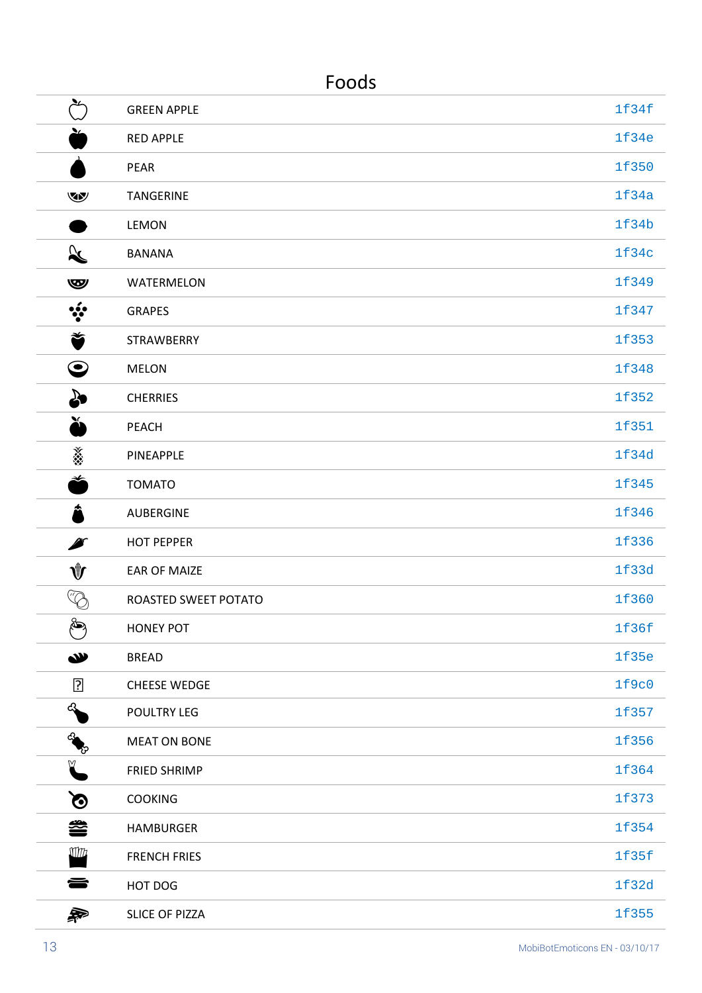| ood<br>ъ. |
|-----------|
|-----------|

| عع<br>ب              | <b>GREEN APPLE</b>    | 1f34f |
|----------------------|-----------------------|-------|
| ≚                    | <b>RED APPLE</b>      | 1f34e |
|                      | <b>PEAR</b>           | 1f350 |
| v                    | <b>TANGERINE</b>      | 1f34a |
|                      | <b>LEMON</b>          | 1f34b |
| $\propto$            | <b>BANANA</b>         | 1f34c |
| $\mathbf{w}$         | WATERMELON            | 1f349 |
| $\ddot{\cdot}$       | <b>GRAPES</b>         | 1f347 |
| Ť                    | STRAWBERRY            | 1f353 |
| $\boldsymbol{\odot}$ | <b>MELON</b>          | 1f348 |
| ₷                    | <b>CHERRIES</b>       | 1f352 |
| Ă                    | PEACH                 | 1f351 |
| 溪                    | PINEAPPLE             | 1f34d |
| ž                    | <b>TOMATO</b>         | 1f345 |
| Â                    | <b>AUBERGINE</b>      | 1f346 |
| Ø                    | <b>HOT PEPPER</b>     | 1f336 |
| ∜                    | <b>EAR OF MAIZE</b>   | 1f33d |
| $\mathbb{Q}$         | ROASTED SWEET POTATO  | 1f360 |
| کلم                  | <b>HONEY POT</b>      | 1f36f |
| W                    | <b>BREAD</b>          | 1f35e |
| ?                    | <b>CHEESE WEDGE</b>   | 1f9c0 |
| $\clubsuit$          | POULTRY LEG           | 1f357 |
| RIVER                | <b>MEAT ON BONE</b>   | 1f356 |
| ¥                    | <b>FRIED SHRIMP</b>   | 1f364 |
| $\Omega$             | <b>COOKING</b>        | 1f373 |
| 参                    | <b>HAMBURGER</b>      | 1f354 |
| Wh                   | <b>FRENCH FRIES</b>   | 1f35f |
| 을                    | HOT DOG               | 1f32d |
| 枭                    | <b>SLICE OF PIZZA</b> | 1f355 |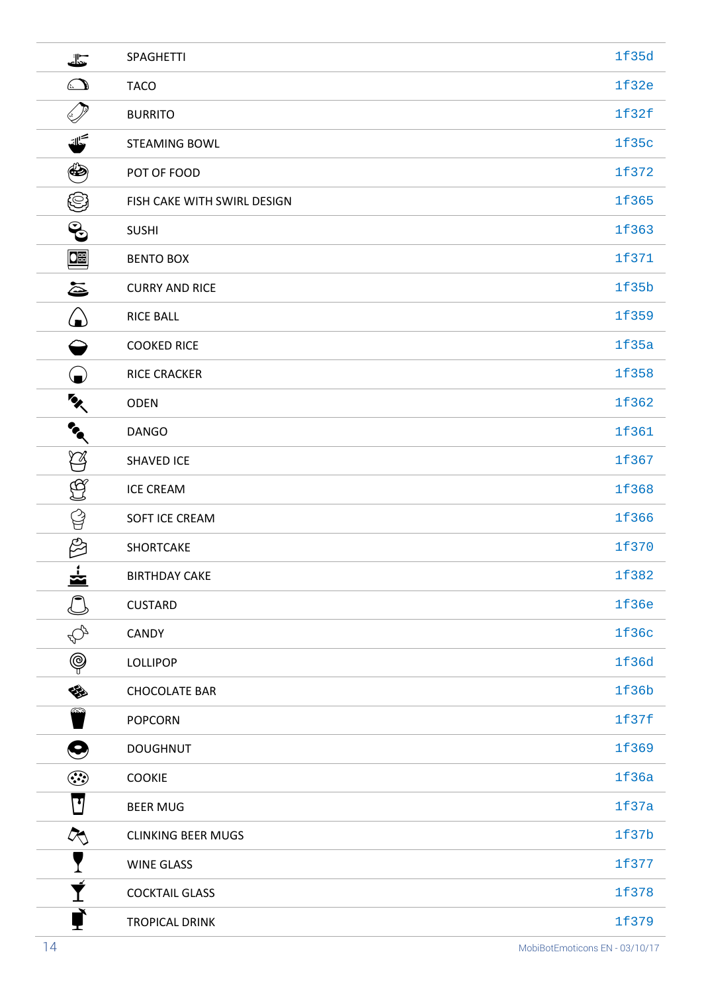| J                         | <b>SPAGHETTI</b>            | 1f35d |
|---------------------------|-----------------------------|-------|
| $\bigcirc$                | <b>TACO</b>                 | 1f32e |
| $\mathbb{Z}$              | <b>BURRITO</b>              | 1f32f |
| كك                        | <b>STEAMING BOWL</b>        | 1f35c |
| $\bigcirc$                | POT OF FOOD                 | 1f372 |
| ☺                         | FISH CAKE WITH SWIRL DESIGN | 1f365 |
| $\mathbf{e}$              | <b>SUSHI</b>                | 1f363 |
| 哩                         | <b>BENTO BOX</b>            | 1f371 |
| ē                         | <b>CURRY AND RICE</b>       | 1f35b |
| $\bigcirc$                | <b>RICE BALL</b>            | 1f359 |
| ⇔                         | <b>COOKED RICE</b>          | 1f35a |
|                           | <b>RICE CRACKER</b>         | 1f358 |
| $\mathbf{z}$              | <b>ODEN</b>                 | 1f362 |
| $\mathbf{r}_{\mathbf{q}}$ | <b>DANGO</b>                | 1f361 |
| $\heartsuit$              | <b>SHAVED ICE</b>           | 1f367 |
| යූ                        | <b>ICE CREAM</b>            | 1f368 |
| 얍                         | SOFT ICE CREAM              | 1f366 |
| E                         | SHORTCAKE                   | 1f370 |
| ٠<br>$\tilde{\mathbf{z}}$ | <b>BIRTHDAY CAKE</b>        | 1f382 |
|                           | <b>CUSTARD</b>              | 1f36e |
| $\mathbb{Q}$              | <b>CANDY</b>                | 1f36c |
| $\circledS$               | <b>LOLLIPOP</b>             | 1f36d |
| չ                         | <b>CHOCOLATE BAR</b>        | 1f36b |
|                           | <b>POPCORN</b>              | 1f37f |
| $\boldsymbol{\Theta}$     | <b>DOUGHNUT</b>             | 1f369 |
| $\odot$                   | <b>COOKIE</b>               | 1f36a |
| ⊡                         | <b>BEER MUG</b>             | 1f37a |
| $\mathcal{R}_\mathbb{Q}$  | <b>CLINKING BEER MUGS</b>   | 1f37b |
|                           | <b>WINE GLASS</b>           | 1f377 |
| Ī                         | <b>COCKTAIL GLASS</b>       | 1f378 |
|                           | <b>TROPICAL DRINK</b>       | 1f379 |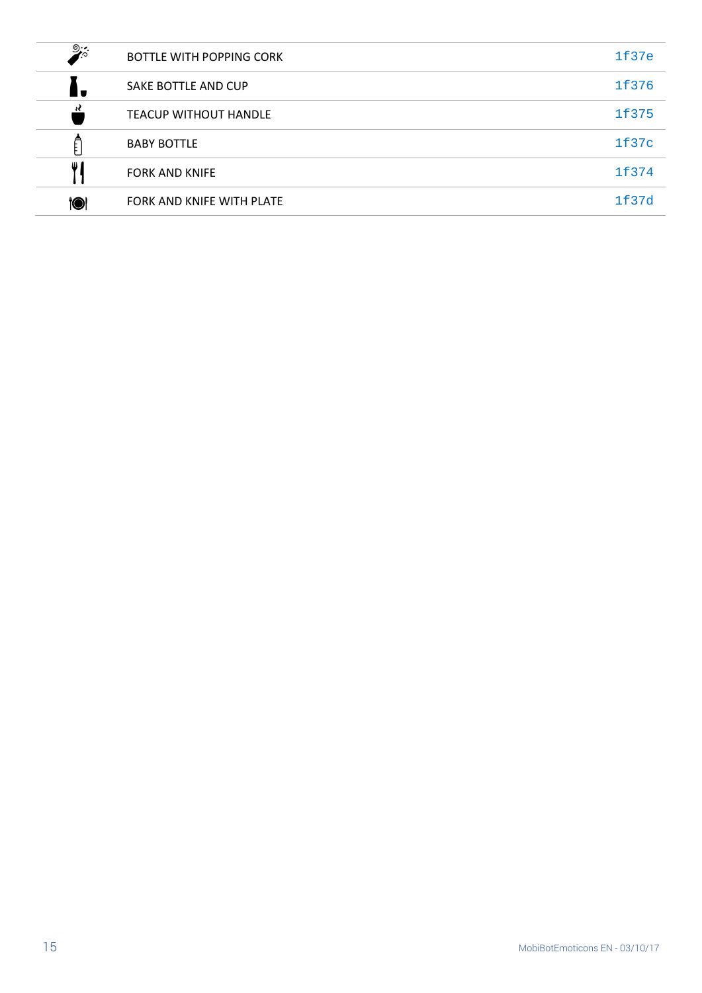| ಄:•.       | BOTTLE WITH POPPING CORK     | 1f37e |
|------------|------------------------------|-------|
|            | SAKE BOTTLE AND CUP          | 1f376 |
| ₹          | <b>TEACUP WITHOUT HANDLE</b> | 1f375 |
|            | <b>BABY BOTTLE</b>           | 1f37c |
| Ш          | <b>FORK AND KNIFE</b>        | 1f374 |
| <b>101</b> | FORK AND KNIFE WITH PLATE    | 1f37d |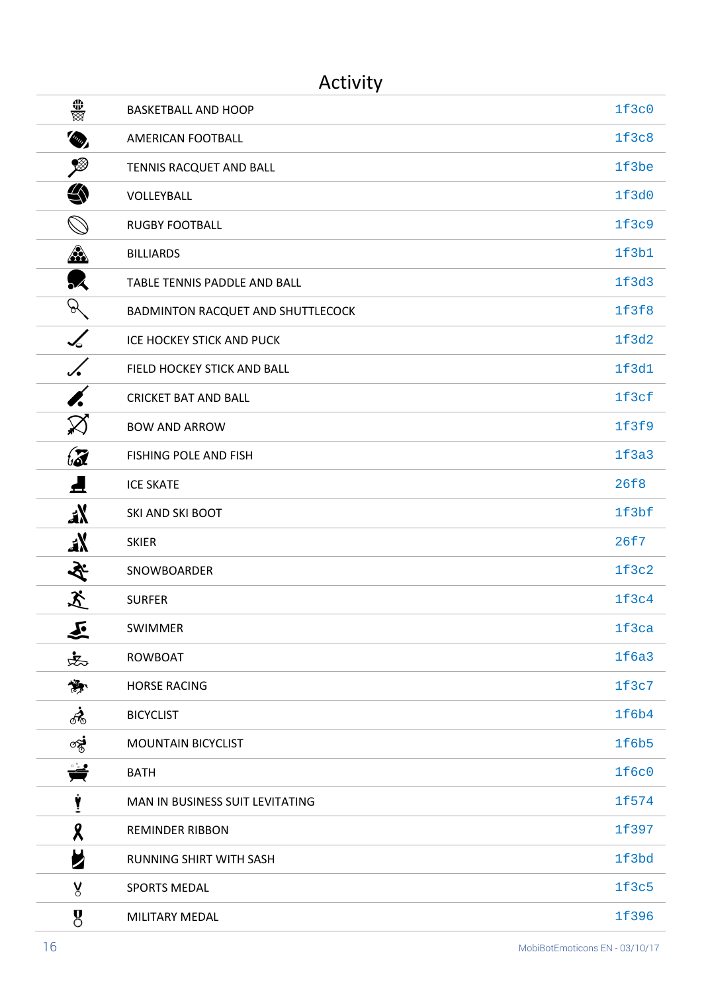#### Activity

| ▓                     | <b>BASKETBALL AND HOOP</b>        | 1f3c0        |
|-----------------------|-----------------------------------|--------------|
| <b>COUP</b>           | AMERICAN FOOTBALL                 | 1f3c8        |
| ≸                     | TENNIS RACQUET AND BALL           | 1f3be        |
| ௯                     | VOLLEYBALL                        | 1f3d0        |
| $\oslash$             | <b>RUGBY FOOTBALL</b>             | 1f3c9        |
| <u>A</u>              | <b>BILLIARDS</b>                  | 1f3b1        |
| $\mathbf{\mathbf{z}}$ | TABLE TENNIS PADDLE AND BALL      | 1f3d3        |
| P.                    | BADMINTON RACQUET AND SHUTTLECOCK | 1f3f8        |
| $\measuredangle$      | ICE HOCKEY STICK AND PUCK         | 1f3d2        |
| $\checkmark$          | FIELD HOCKEY STICK AND BALL       | 1f3d1        |
|                       | <b>CRICKET BAT AND BALL</b>       | 1f3cf        |
| $\boxtimes$           | <b>BOW AND ARROW</b>              | 1f3f9        |
| $\mathcal{Z}$         | FISHING POLE AND FISH             | 1f3a3        |
| ◢                     | <b>ICE SKATE</b>                  | 26f8         |
| aX                    | SKI AND SKI BOOT                  | 1f3bf        |
| ax                    | <b>SKIER</b>                      | 26f7         |
| 冬                     | SNOWBOARDER                       | 1f3c2        |
| 爻                     | <b>SURFER</b>                     | 1f3c4        |
| 义                     | <b>SWIMMER</b>                    | 1f3ca        |
| 忠                     | <b>ROWBOAT</b>                    | 1f6a3        |
| 贄                     | <b>HORSE RACING</b>               | 1f3c7        |
| $\mathcal{A}_0$       | <b>BICYCLIST</b>                  | 1f6b4        |
| જૂ•ં                  | <b>MOUNTAIN BICYCLIST</b>         | 1f6b5        |
| ₩                     | <b>BATH</b>                       | <b>1f6c0</b> |
| Ÿ                     | MAN IN BUSINESS SUIT LEVITATING   | 1f574        |
| X                     | <b>REMINDER RIBBON</b>            | 1f397        |
| И                     | RUNNING SHIRT WITH SASH           | 1f3bd        |
| y                     | <b>SPORTS MEDAL</b>               | 1f3c5        |
| 8                     | MILITARY MEDAL                    | 1f396        |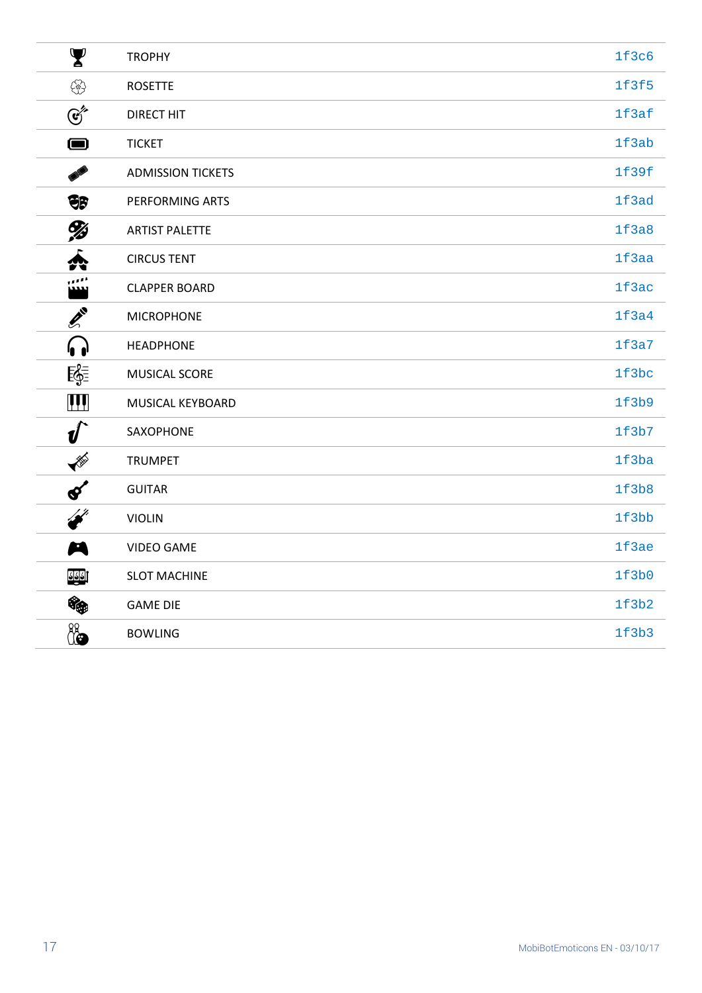| $\blacktriangledown$        | <b>TROPHY</b>            | 1f3c6 |
|-----------------------------|--------------------------|-------|
| ♧                           | <b>ROSETTE</b>           | 1f3f5 |
| $\mathfrak{E}^*$            | <b>DIRECT HIT</b>        | 1f3af |
| $\bullet$                   | <b>TICKET</b>            | 1f3ab |
| THE                         | <b>ADMISSION TICKETS</b> | 1f39f |
| $\bigoplus_{i=1}^n$         | PERFORMING ARTS          | 1f3ad |
| <b>Ys</b>                   | <b>ARTIST PALETTE</b>    | 1f3a8 |
| Á                           | <b>CIRCUS TENT</b>       | 1f3aa |
| ,,,,,                       | <b>CLAPPER BOARD</b>     | 1f3ac |
| EN 1                        | <b>MICROPHONE</b>        | 1f3a4 |
| 6                           | <b>HEADPHONE</b>         | 1f3a7 |
| 零                           | MUSICAL SCORE            | 1f3bc |
| $\mathbf{III}$              | MUSICAL KEYBOARD         | 1f3b9 |
| $\boldsymbol{\psi}$         | SAXOPHONE                | 1f3b7 |
| I                           | <b>TRUMPET</b>           | 1f3ba |
| $\boldsymbol{\mathcal{S}}'$ | <b>GUITAR</b>            | 1f3b8 |
| i filmografi<br>K           | <b>VIOLIN</b>            | 1f3bb |
| M                           | <b>VIDEO GAME</b>        | 1f3ae |
| <u>त रहे</u> ।              | <b>SLOT MACHINE</b>      | 1f3b0 |
| Gg                          | <b>GAME DIE</b>          | 1f3b2 |
| 4                           | <b>BOWLING</b>           | 1f3b3 |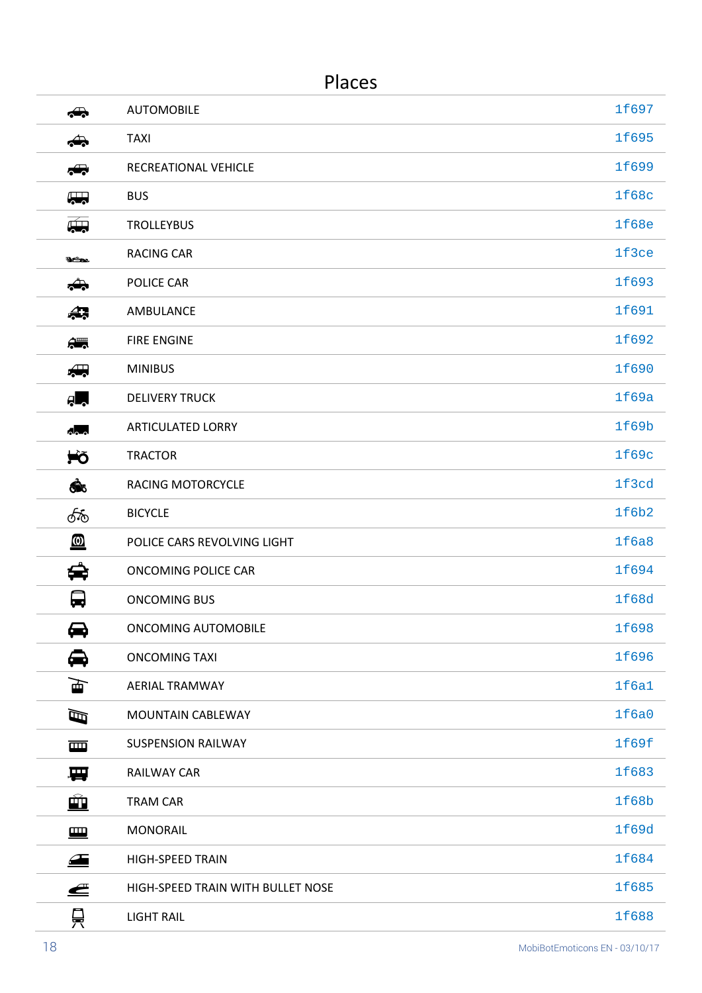#### Places

| $\clubsuit$                                                            | <b>AUTOMOBILE</b>                 | 1f697        |
|------------------------------------------------------------------------|-----------------------------------|--------------|
| ⇔                                                                      | <b>TAXI</b>                       | 1f695        |
| $\leftrightarrow$                                                      | RECREATIONAL VEHICLE              | 1f699        |
| <b>A</b>                                                               | <b>BUS</b>                        | 1f68c        |
| $\overline{\mathbb{R}}$                                                | <b>TROLLEYBUS</b>                 | <b>1f68e</b> |
| ఇంబ                                                                    | <b>RACING CAR</b>                 | 1f3ce        |
| ♣                                                                      | POLICE CAR                        | 1f693        |
| 47                                                                     | AMBULANCE                         | 1f691        |
| $\frac{1}{2}$                                                          | <b>FIRE ENGINE</b>                | 1f692        |
| $\begin{array}{c} \begin{array}{c} \text{and} \end{array} \end{array}$ | <b>MINIBUS</b>                    | 1f690        |
| ĄU,                                                                    | <b>DELIVERY TRUCK</b>             | 1f69a        |
| $\Delta$ <sub>0-0</sub>                                                | <b>ARTICULATED LORRY</b>          | 1f69b        |
| ₩Õ                                                                     | <b>TRACTOR</b>                    | 1f69c        |
| ෯                                                                      | <b>RACING MOTORCYCLE</b>          | 1f3cd        |
| ණි                                                                     | <b>BICYCLE</b>                    | 1f6b2        |
| ◙                                                                      | POLICE CARS REVOLVING LIGHT       | 1f6a8        |
| ⇔                                                                      | ONCOMING POLICE CAR               | 1f694        |
| لپا                                                                    | <b>ONCOMING BUS</b>               | 1f68d        |
| ⇔                                                                      | <b>ONCOMING AUTOMOBILE</b>        | 1f698        |
| ⇔                                                                      | <b>ONCOMING TAXI</b>              | 1f696        |
| 匣                                                                      | <b>AERIAL TRAMWAY</b>             | 1f6a1        |
| $\mathbf \varpi$                                                       | MOUNTAIN CABLEWAY                 | 1f6a0        |
| 画                                                                      | <b>SUSPENSION RAILWAY</b>         | 1f69f        |
| 要                                                                      | <b>RAILWAY CAR</b>                | 1f683        |
| ÈÓ                                                                     | <b>TRAM CAR</b>                   | 1f68b        |
| E                                                                      | <b>MONORAIL</b>                   | 1f69d        |
| $\triangle$                                                            | <b>HIGH-SPEED TRAIN</b>           | 1f684        |
| ≝                                                                      | HIGH-SPEED TRAIN WITH BULLET NOSE | 1f685        |
| 믖                                                                      | <b>LIGHT RAIL</b>                 | 1f688        |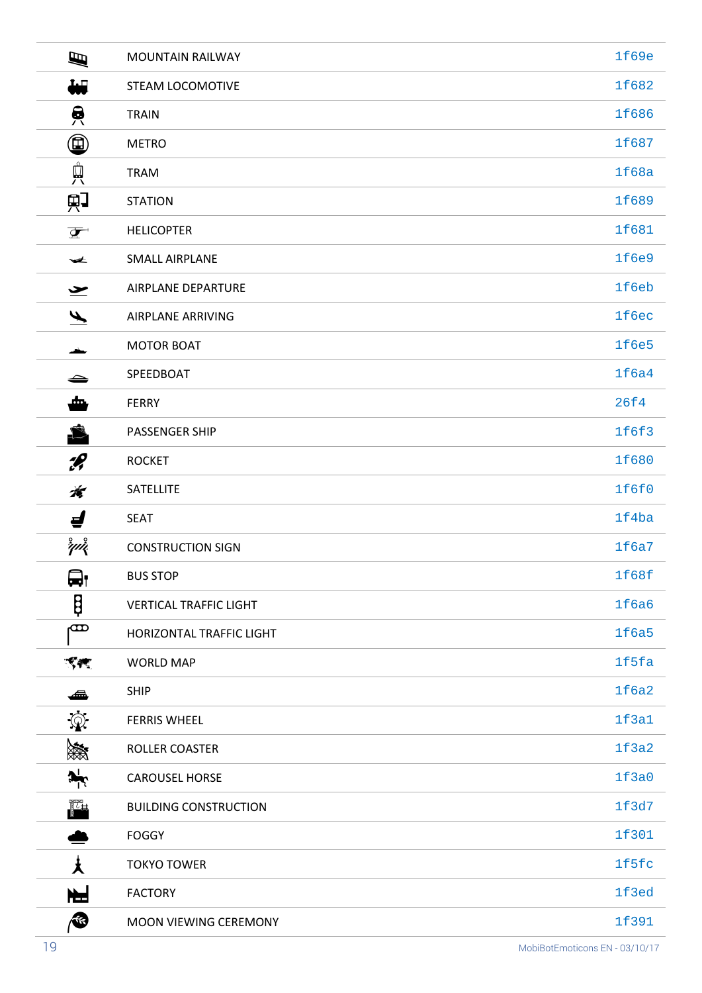| Ø                              | <b>MOUNTAIN RAILWAY</b>       | 1f69e |
|--------------------------------|-------------------------------|-------|
| ₩                              | <b>STEAM LOCOMOTIVE</b>       | 1f682 |
| 負                              | <b>TRAIN</b>                  | 1f686 |
| $\bm{\textcircled{\small{1}}}$ | <b>METRO</b>                  | 1f687 |
| $\mathring{\mathbb{H}}$        | <b>TRAM</b>                   | 1f68a |
| 职                              | <b>STATION</b>                | 1f689 |
| $\overline{\mathbf{P}}$        | <b>HELICOPTER</b>             | 1f681 |
| $\blacktriangleright$          | <b>SMALL AIRPLANE</b>         | 1f6e9 |
| $\blacktriangleright$          | AIRPLANE DEPARTURE            | 1f6eb |
| $\blacklozenge$                | <b>AIRPLANE ARRIVING</b>      | 1f6ec |
|                                | <b>MOTOR BOAT</b>             | 1f6e5 |
| ⇔                              | SPEEDBOAT                     | 1f6a4 |
| ₾                              | <b>FERRY</b>                  | 26f4  |
| £                              | PASSENGER SHIP                | 1f6f3 |
| $\mathscr{L}$                  | <b>ROCKET</b>                 | 1f680 |
| 斉                              | SATELLITE                     | 1f6f0 |
| ⊌                              | <b>SEAT</b>                   | 1f4ba |
| $\mathring{\mathscr{C}}$       | <b>CONSTRUCTION SIGN</b>      | 1f6a7 |
| <b>-</b><br>₩'                 | <b>BUS STOP</b>               | 1f68f |
| Ş                              | <b>VERTICAL TRAFFIC LIGHT</b> | 1f6a6 |
| ത                              | HORIZONTAL TRAFFIC LIGHT      | 1f6a5 |
| ৰ্ণ কৰ্                        | <b>WORLD MAP</b>              | 1f5fa |
| ◢                              | <b>SHIP</b>                   | 1f6a2 |
| $\circledcirc$                 | <b>FERRIS WHEEL</b>           | 1f3a1 |
| 濑                              | ROLLER COASTER                | 1f3a2 |
| $\mathbf{r}$                   | <b>CAROUSEL HORSE</b>         | 1f3a0 |
| $\frac{1}{\sqrt{2}}$           | <b>BUILDING CONSTRUCTION</b>  | 1f3d7 |
|                                | <b>FOGGY</b>                  | 1f301 |
| 大                              | <b>TOKYO TOWER</b>            | 1f5fc |
| ł                              | <b>FACTORY</b>                | 1f3ed |
| (S                             | MOON VIEWING CEREMONY         | 1f391 |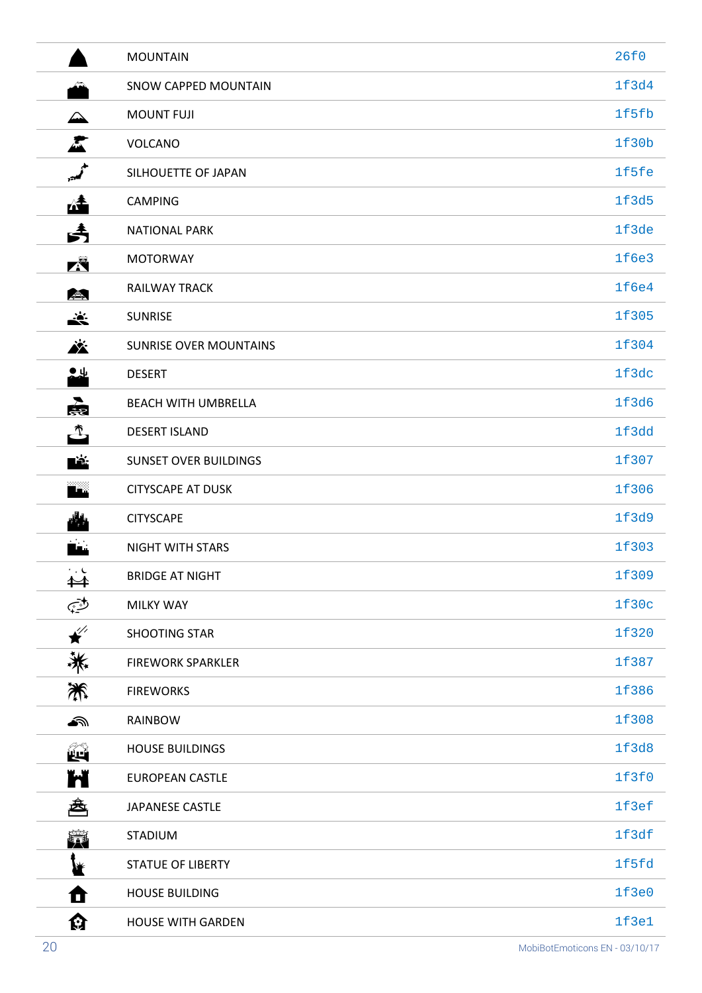|                     | <b>MOUNTAIN</b>               | 26f0  |
|---------------------|-------------------------------|-------|
|                     | SNOW CAPPED MOUNTAIN          | 1f3d4 |
| △                   | <b>MOUNT FUJI</b>             | 1f5fb |
| A                   | VOLCANO                       | 1f30b |
| ا کمبر              | SILHOUETTE OF JAPAN           | 1f5fe |
| <u>леф</u>          | <b>CAMPING</b>                | 1f3d5 |
| Â                   | <b>NATIONAL PARK</b>          | 1f3de |
| K                   | <b>MOTORWAY</b>               | 1f6e3 |
| <b>AB</b>           | <b>RAILWAY TRACK</b>          | 1f6e4 |
| <u>ist.</u>         | <b>SUNRISE</b>                | 1f305 |
| Ä                   | <b>SUNRISE OVER MOUNTAINS</b> | 1f304 |
| ╩╩                  | <b>DESERT</b>                 | 1f3dc |
| 處                   | <b>BEACH WITH UMBRELLA</b>    | 1f3d6 |
| $\mathbb{C}$        | <b>DESERT ISLAND</b>          | 1f3dd |
| ∎ă                  | <b>SUNSET OVER BUILDINGS</b>  | 1f307 |
| ™ã                  | <b>CITYSCAPE AT DUSK</b>      | 1f306 |
| الأ                 | <b>CITYSCAPE</b>              | 1f3d9 |
|                     | NIGHT WITH STARS              | 1f303 |
| ✦                   | <b>BRIDGE AT NIGHT</b>        | 1f309 |
| رينج                | <b>MILKY WAY</b>              | 1f30c |
| $\overline{\star}'$ | SHOOTING STAR                 | 1f320 |
| 兼                   | <b>FIREWORK SPARKLER</b>      | 1f387 |
| 米                   | <b>FIREWORKS</b>              | 1f386 |
| €                   | RAINBOW                       | 1f308 |
| êq                  | <b>HOUSE BUILDINGS</b>        | 1f3d8 |
| Ħ                   | <b>EUROPEAN CASTLE</b>        | 1f3f0 |
| 魯                   | JAPANESE CASTLE               | 1f3ef |
| 簈                   | <b>STADIUM</b>                | 1f3df |
| ₩                   | <b>STATUE OF LIBERTY</b>      | 1f5fd |
| Ō                   | <b>HOUSE BUILDING</b>         | 1f3e0 |
| धि                  | <b>HOUSE WITH GARDEN</b>      | 1f3e1 |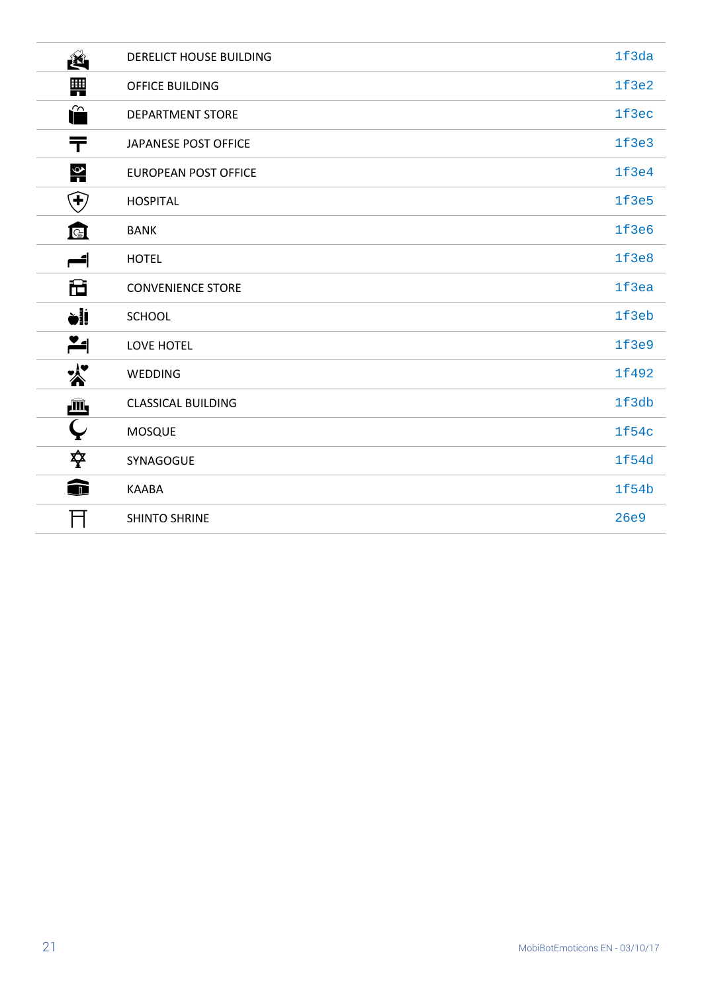| Ź.                     | DERELICT HOUSE BUILDING   | 1f3da |
|------------------------|---------------------------|-------|
| ₩                      | OFFICE BUILDING           | 1f3e2 |
| î                      | <b>DEPARTMENT STORE</b>   | 1f3ec |
| ᆍ                      | JAPANESE POST OFFICE      | 1f3e3 |
| $\frac{Q}{1}$          | EUROPEAN POST OFFICE      | 1f3e4 |
| $\bigoplus$            | <b>HOSPITAL</b>           | 1f3e5 |
| 叵                      | <b>BANK</b>               | 1f3e6 |
| ائد                    | <b>HOTEL</b>              | 1f3e8 |
| 仓                      | <b>CONVENIENCE STORE</b>  | 1f3ea |
| <b>vii</b>             | <b>SCHOOL</b>             | 1f3eb |
| $\blacktriangleright$  | LOVE HOTEL                | 1f3e9 |
| $\boldsymbol{\lambda}$ | WEDDING                   | 1f492 |
| û,                     | <b>CLASSICAL BUILDING</b> | 1f3db |
| $\bm \varphi$          | <b>MOSQUE</b>             | 1f54c |
| 卒                      | SYNAGOGUE                 | 1f54d |
| ⋒                      | <b>KAABA</b>              | 1f54b |
|                        | <b>SHINTO SHRINE</b>      | 26e9  |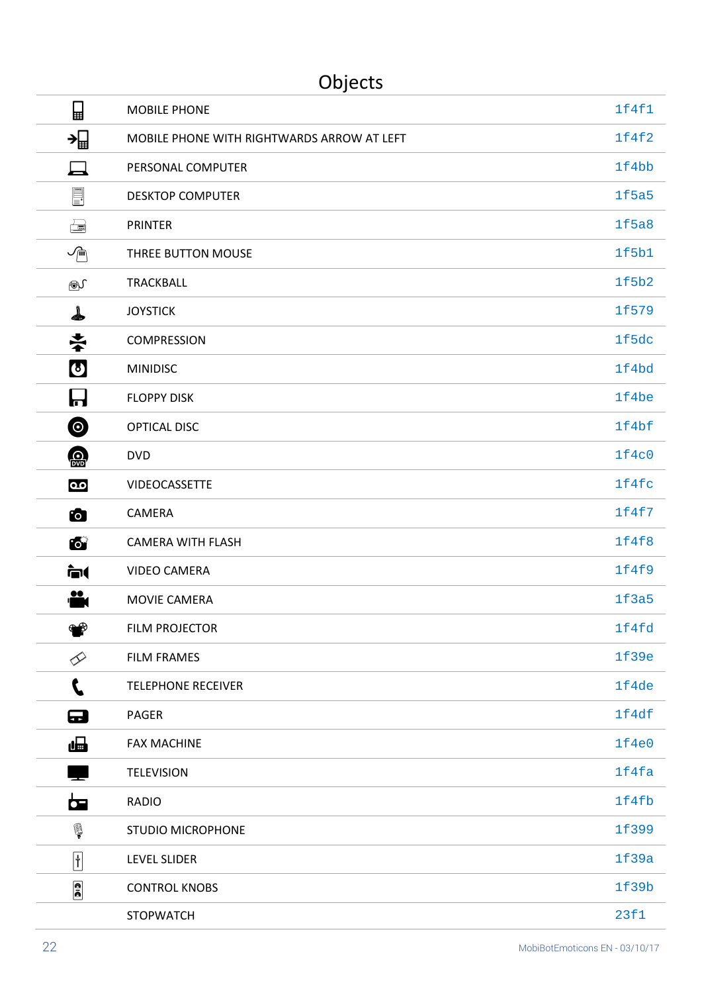## Objects

| $\Box$                    | <b>MOBILE PHONE</b>                        | 1f4f1 |
|---------------------------|--------------------------------------------|-------|
| →⊞                        | MOBILE PHONE WITH RIGHTWARDS ARROW AT LEFT | 1f4f2 |
|                           | PERSONAL COMPUTER                          | 1f4bb |
| <u>F</u>                  | <b>DESKTOP COMPUTER</b>                    | 1f5a5 |
| $\Box$                    | <b>PRINTER</b>                             | 1f5a8 |
| $\sqrt{\mathbb{m}}$       | THREE BUTTON MOUSE                         | 1f5b1 |
| ௵                         | TRACKBALL                                  | 1f5b2 |
| Å                         | <b>JOYSTICK</b>                            | 1f579 |
| 幸                         | <b>COMPRESSION</b>                         | 1f5dc |
| $\boldsymbol{\omega}$     | <b>MINIDISC</b>                            | 1f4bd |
| ┟┧                        | <b>FLOPPY DISK</b>                         | 1f4be |
| $\bm{\bm{\circ}}$         | OPTICAL DISC                               | 1f4bf |
|                           | <b>DVD</b>                                 | 1f4c0 |
| $\overline{\mathbf{Q}}$   | VIDEOCASSETTE                              | 1f4fc |
| Ó                         | CAMERA                                     | 1f4f7 |
| 6                         | <b>CAMERA WITH FLASH</b>                   | 1f4f8 |
| नि                        | <b>VIDEO CAMERA</b>                        | 1f4f9 |
| <u>se</u>                 | MOVIE CAMERA                               | 1f3a5 |
| ا∯                        | <b>FILM PROJECTOR</b>                      | 1f4fd |
| <b>Procedure</b>          | <b>FILM FRAMES</b>                         | 1f39e |
| L                         | <b>TELEPHONE RECEIVER</b>                  | 1f4de |
| $\mathbf \Xi$             | <b>PAGER</b>                               | 1f4df |
| æ                         | <b>FAX MACHINE</b>                         | 1f4e0 |
|                           | <b>TELEVISION</b>                          | 1f4fa |
| <b>be</b>                 | <b>RADIO</b>                               | 1f4fb |
| Ç                         | <b>STUDIO MICROPHONE</b>                   | 1f399 |
| $\boxed{\dagger}$         | <b>LEVEL SLIDER</b>                        | 1f39a |
| $\frac{1}{\overline{10}}$ | <b>CONTROL KNOBS</b>                       | 1f39b |
|                           | <b>STOPWATCH</b>                           | 23f1  |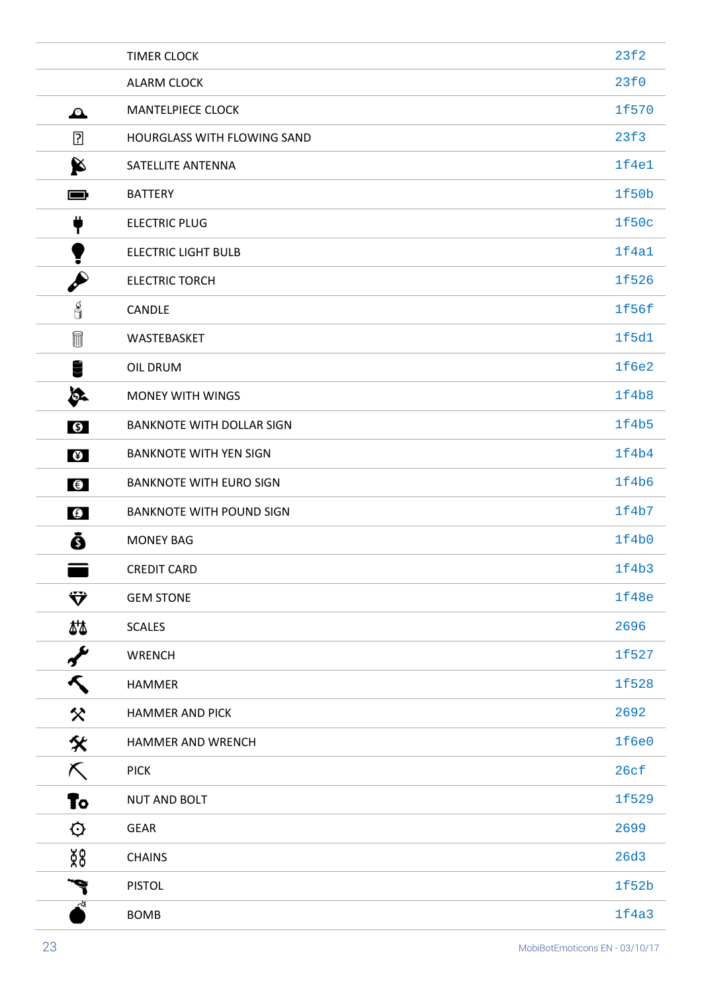|                             | <b>TIMER CLOCK</b>               | 23f2  |
|-----------------------------|----------------------------------|-------|
|                             | ALARM CLOCK                      | 23f0  |
| $\mathbf{A}$                | <b>MANTELPIECE CLOCK</b>         | 1f570 |
| $\boxed{2}$                 | HOURGLASS WITH FLOWING SAND      | 23f3  |
| X                           | SATELLITE ANTENNA                | 1f4e1 |
| $\blacksquare$              | <b>BATTERY</b>                   | 1f50b |
| T                           | <b>ELECTRIC PLUG</b>             | 1f50c |
|                             | <b>ELECTRIC LIGHT BULB</b>       | 1f4a1 |
|                             | <b>ELECTRIC TORCH</b>            | 1f526 |
| J                           | CANDLE                           | 1f56f |
| $^{\text{\textregistered}}$ | WASTEBASKET                      | 1f5d1 |
| Ü                           | OIL DRUM                         | 1f6e2 |
| ð.                          | <b>MONEY WITH WINGS</b>          | 1f4b8 |
| $\bullet$                   | <b>BANKNOTE WITH DOLLAR SIGN</b> | 1f4b5 |
| $\bullet$                   | <b>BANKNOTE WITH YEN SIGN</b>    | 1f4b4 |
| $\bigcirc$                  | <b>BANKNOTE WITH EURO SIGN</b>   | 1f4b6 |
| $\boldsymbol{\Theta}$       | <b>BANKNOTE WITH POUND SIGN</b>  | 1f4b7 |
| Õ                           | <b>MONEY BAG</b>                 | 1f4b0 |
|                             | <b>CREDIT CARD</b>               | 1f4b3 |
| Ÿ                           | <b>GEM STONE</b>                 | 1f48e |
| 44                          | <b>SCALES</b>                    | 2696  |
| $\boldsymbol{\gamma}$       | WRENCH                           | 1f527 |
| Κ                           | HAMMER                           | 1f528 |
| 父                           | <b>HAMMER AND PICK</b>           | 2692  |
| 父                           | HAMMER AND WRENCH                | 1f6e0 |
| K.                          | <b>PICK</b>                      | 26cf  |
| To:                         | <b>NUT AND BOLT</b>              | 1f529 |
| $\mathbf{\hat{Q}}$          | <b>GEAR</b>                      | 2699  |
| 8g                          | <b>CHAINS</b>                    | 26d3  |
|                             | <b>PISTOL</b>                    | 1f52b |
| -≪                          | <b>BOMB</b>                      | 1f4a3 |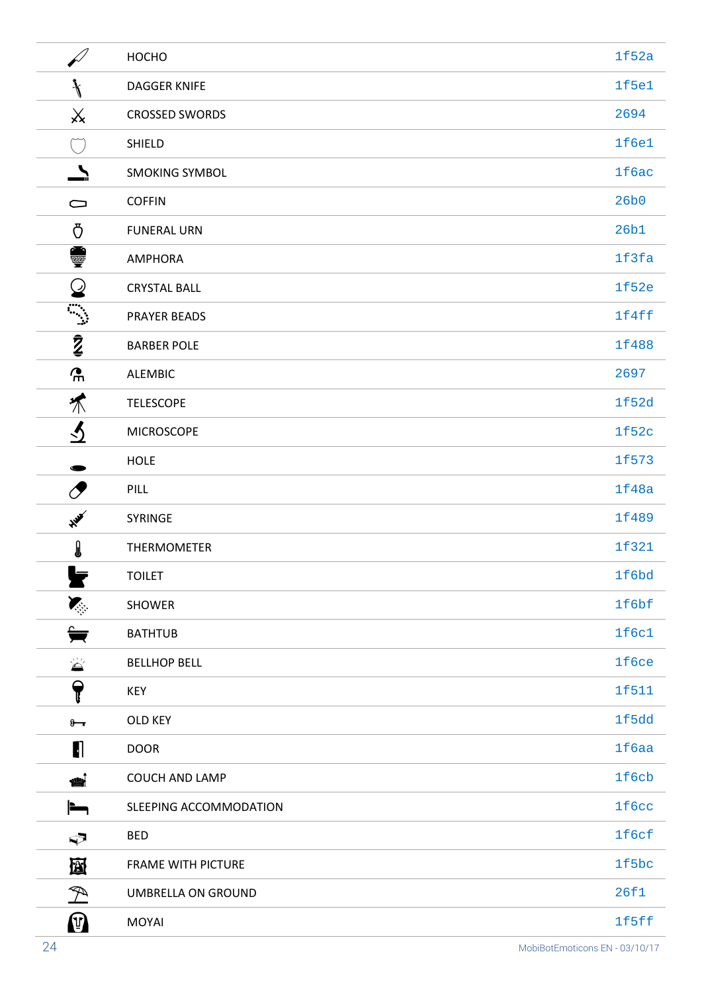|                                                                                                                                                      | HOCHO                     | 1f52a |
|------------------------------------------------------------------------------------------------------------------------------------------------------|---------------------------|-------|
| $\mathcal{L}$                                                                                                                                        | <b>DAGGER KNIFE</b>       | 1f5e1 |
| $\mathsf{X}$                                                                                                                                         | <b>CROSSED SWORDS</b>     | 2694  |
| $(\quad)$                                                                                                                                            | SHIELD                    | 1f6e1 |
| $\blacktriangle$                                                                                                                                     | <b>SMOKING SYMBOL</b>     | 1f6ac |
| $\cup$                                                                                                                                               | <b>COFFIN</b>             | 26b0  |
| Ō                                                                                                                                                    | <b>FUNERAL URN</b>        | 26b1  |
| ●                                                                                                                                                    | AMPHORA                   | 1f3fa |
| $\bm{\omega}$                                                                                                                                        | <b>CRYSTAL BALL</b>       | 1f52e |
|                                                                                                                                                      | <b>PRAYER BEADS</b>       | 1f4ff |
| $\bar{z}$                                                                                                                                            | <b>BARBER POLE</b>        | 1f488 |
| $\mathbf{r}$                                                                                                                                         | <b>ALEMBIC</b>            | 2697  |
| 不                                                                                                                                                    | <b>TELESCOPE</b>          | 1f52d |
| $\overline{v}$                                                                                                                                       | <b>MICROSCOPE</b>         | 1f52c |
|                                                                                                                                                      | <b>HOLE</b>               | 1f573 |
| $\sigma$                                                                                                                                             | <b>PILL</b>               | 1f48a |
| 美                                                                                                                                                    | SYRINGE                   | 1f489 |
| I                                                                                                                                                    | THERMOMETER               | 1f321 |
| Ω.                                                                                                                                                   | <b>TOILET</b>             | 1f6bd |
| <b>Karl</b>                                                                                                                                          | SHOWER                    | 1f6bf |
| ₩                                                                                                                                                    | <b>BATHTUB</b>            | 1f6c1 |
| $\sum_{i=1}^{n-1} a_i$                                                                                                                               | <b>BELLHOP BELL</b>       | 1f6ce |
| $\blacklozenge$                                                                                                                                      | KEY                       | 1f511 |
| $8 - 1$                                                                                                                                              | OLD KEY                   | 1f5dd |
| $\blacksquare$                                                                                                                                       | <b>DOOR</b>               | 1f6aa |
| أيلله                                                                                                                                                | COUCH AND LAMP            | 1f6cb |
| $\blacksquare$                                                                                                                                       | SLEEPING ACCOMMODATION    | 1f6cc |
| $\mathfrak{S}$                                                                                                                                       | <b>BED</b>                | 1f6cf |
| 囹                                                                                                                                                    | <b>FRAME WITH PICTURE</b> | 1f5bc |
| $\mathfrak{B}% _{T}=\mathfrak{B}_{T}\!\left( a,b\right) ,\ \mathfrak{B}_{T}=C_{T}\!\left( a,b\right) ,\ \mathfrak{B}_{T}=C_{T}\!\left( a,b\right) ,$ | UMBRELLA ON GROUND        | 26f1  |
| $\mathbf{P}$                                                                                                                                         | MOYAI                     | 1f5ff |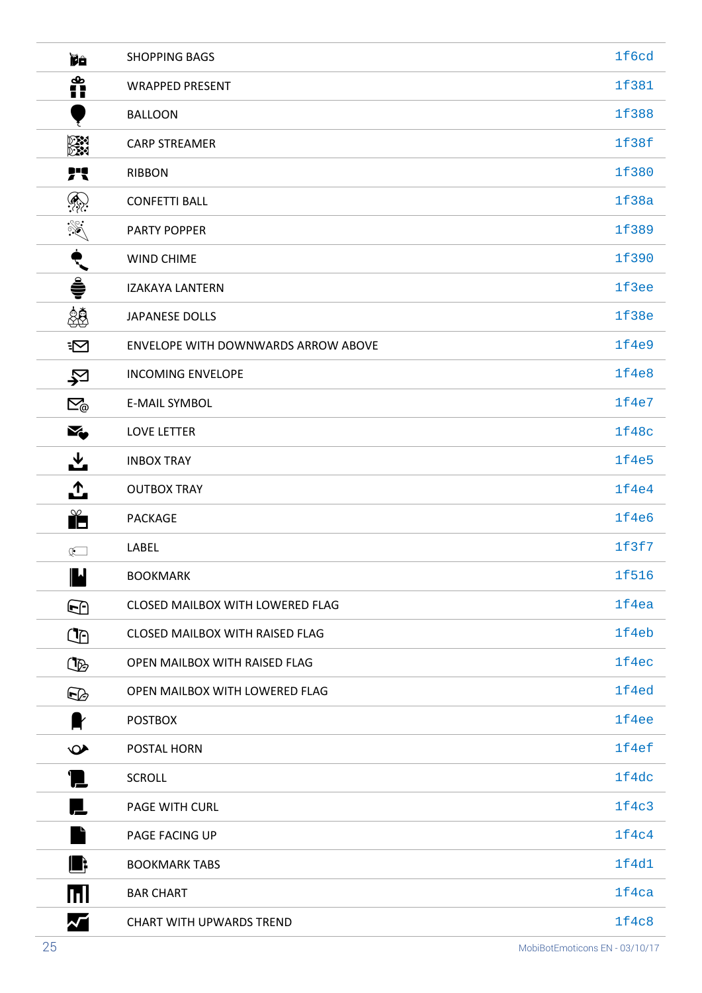| <b>Ye</b>                                           | <b>SHOPPING BAGS</b>                   | 1f6cd |
|-----------------------------------------------------|----------------------------------------|-------|
| စိုး<br>[]                                          | <b>WRAPPED PRESENT</b>                 | 1f381 |
|                                                     | <b>BALLOON</b>                         | 1f388 |
| en<br>En                                            | <b>CARP STREAMER</b>                   | 1f38f |
| 71                                                  | <b>RIBBON</b>                          | 1f380 |
| $\bigcirc$                                          | <b>CONFETTI BALL</b>                   | 1f38a |
|                                                     | <b>PARTY POPPER</b>                    | 1f389 |
| ९                                                   | <b>WIND CHIME</b>                      | 1f390 |
| Ş                                                   | <b>IZAKAYA LANTERN</b>                 | 1f3ee |
| \$                                                  | <b>JAPANESE DOLLS</b>                  | 1f38e |
| $\equiv$                                            | ENVELOPE WITH DOWNWARDS ARROW ABOVE    | 1f4e9 |
| 它                                                   | <b>INCOMING ENVELOPE</b>               | 1f4e8 |
| $\boxtimes_{\hspace{-1pt}\scriptscriptstyle\oplus}$ | <b>E-MAIL SYMBOL</b>                   | 1f4e7 |
| X,                                                  | <b>LOVE LETTER</b>                     | 1f48c |
| ᆇ                                                   | <b>INBOX TRAY</b>                      | 1f4e5 |
| ै                                                   | <b>OUTBOX TRAY</b>                     | 1f4e4 |
| $\mathbb{R}^{\infty}$                               | <b>PACKAGE</b>                         | 1f4e6 |
| $\mathbb{R}$                                        | LABEL                                  | 1f3f7 |
| $\blacksquare$                                      | <b>BOOKMARK</b>                        | 1f516 |
| $\bf \Theta$                                        | CLOSED MAILBOX WITH LOWERED FLAG       | 1f4ea |
| $\mathbb{C}$                                        | <b>CLOSED MAILBOX WITH RAISED FLAG</b> | 1f4eb |
| œ                                                   | OPEN MAILBOX WITH RAISED FLAG          | 1f4ec |
| œ                                                   | OPEN MAILBOX WITH LOWERED FLAG         | 1f4ed |
| <b>x</b>                                            | <b>POSTBOX</b>                         | 1f4ee |
| $\bullet$                                           | POSTAL HORN                            | 1f4ef |
| 'I.                                                 | <b>SCROLL</b>                          | 1f4dc |
| Ļ                                                   | PAGE WITH CURL                         | 1f4c3 |
|                                                     | PAGE FACING UP                         | 1f4c4 |
| Шŧ                                                  | <b>BOOKMARK TABS</b>                   | 1f4d1 |
| mі                                                  | <b>BAR CHART</b>                       | 1f4ca |
| $\boldsymbol{\mathcal{N}}$                          | <b>CHART WITH UPWARDS TREND</b>        | 1f4c8 |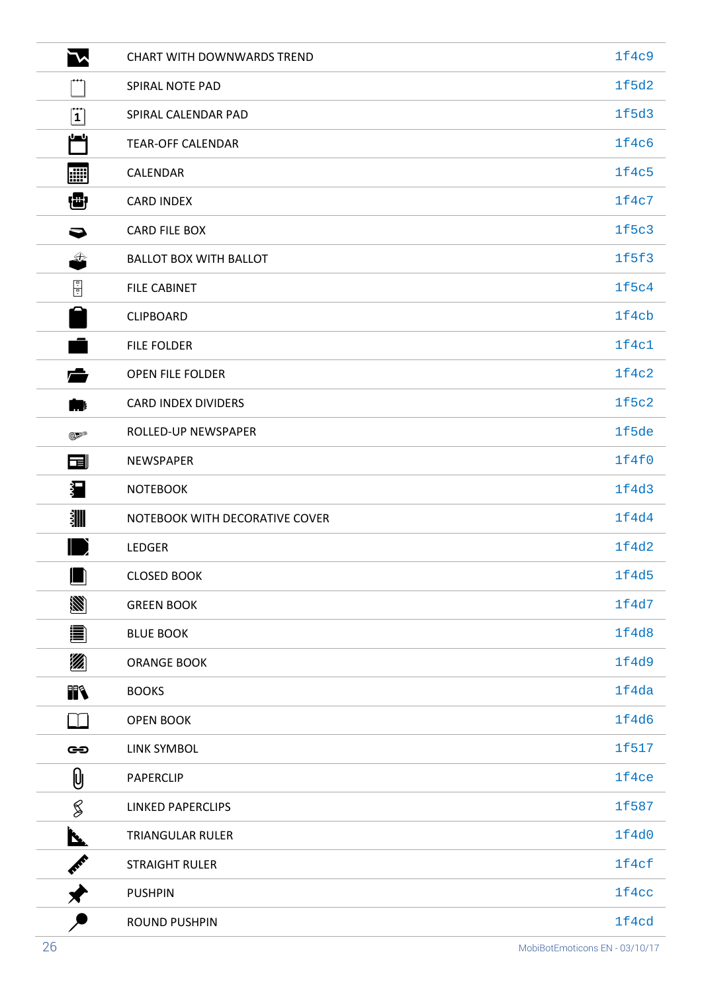| $\mathcal{L}$  | <b>CHART WITH DOWNWARDS TREND</b> | 1f4c9 |
|----------------|-----------------------------------|-------|
|                | SPIRAL NOTE PAD                   | 1f5d2 |
| $ \mathbf{1} $ | SPIRAL CALENDAR PAD               | 1f5d3 |
| بلصل           | <b>TEAR-OFF CALENDAR</b>          | 1f4c6 |
| 圞              | <b>CALENDAR</b>                   | 1f4c5 |
| ₩              | <b>CARD INDEX</b>                 | 1f4c7 |
| 0              | <b>CARD FILE BOX</b>              | 1f5c3 |
| €              | <b>BALLOT BOX WITH BALLOT</b>     | 1f5f3 |
| 圖              | <b>FILE CABINET</b>               | 1f5c4 |
|                | <b>CLIPBOARD</b>                  | 1f4cb |
|                | <b>FILE FOLDER</b>                | 1f4c1 |
| $\leftarrow$   | <b>OPEN FILE FOLDER</b>           | 1f4c2 |
| 1              | CARD INDEX DIVIDERS               | 1f5c2 |
| <b>BEE</b>     | ROLLED-UP NEWSPAPER               | 1f5de |
| 园              | <b>NEWSPAPER</b>                  | 1f4f0 |
| 扫              | <b>NOTEBOOK</b>                   | 1f4d3 |
| ҈҈             | NOTEBOOK WITH DECORATIVE COVER    | 1f4d4 |
|                | <b>LEDGER</b>                     | 1f4d2 |
| . .<br>JШ      | <b>CLOSED BOOK</b>                | 1f4d5 |
| Ø              | <b>GREEN BOOK</b>                 | 1f4d7 |
| 阊              | <b>BLUE BOOK</b>                  | 1f4d8 |
| Ø              | <b>ORANGE BOOK</b>                | 1f4d9 |
| FR             | <b>BOOKS</b>                      | 1f4da |
| $\Box$         | <b>OPEN BOOK</b>                  | 1f4d6 |
| GO             | LINK SYMBOL                       | 1f517 |
| $\emptyset$    | PAPERCLIP                         | 1f4ce |
| §              | <b>LINKED PAPERCLIPS</b>          | 1f587 |
| <u>N.</u>      | TRIANGULAR RULER                  | 1f4d0 |
| <b>PART</b>    | <b>STRAIGHT RULER</b>             | 1f4cf |
|                | <b>PUSHPIN</b>                    | 1f4cc |
|                | <b>ROUND PUSHPIN</b>              | 1f4cd |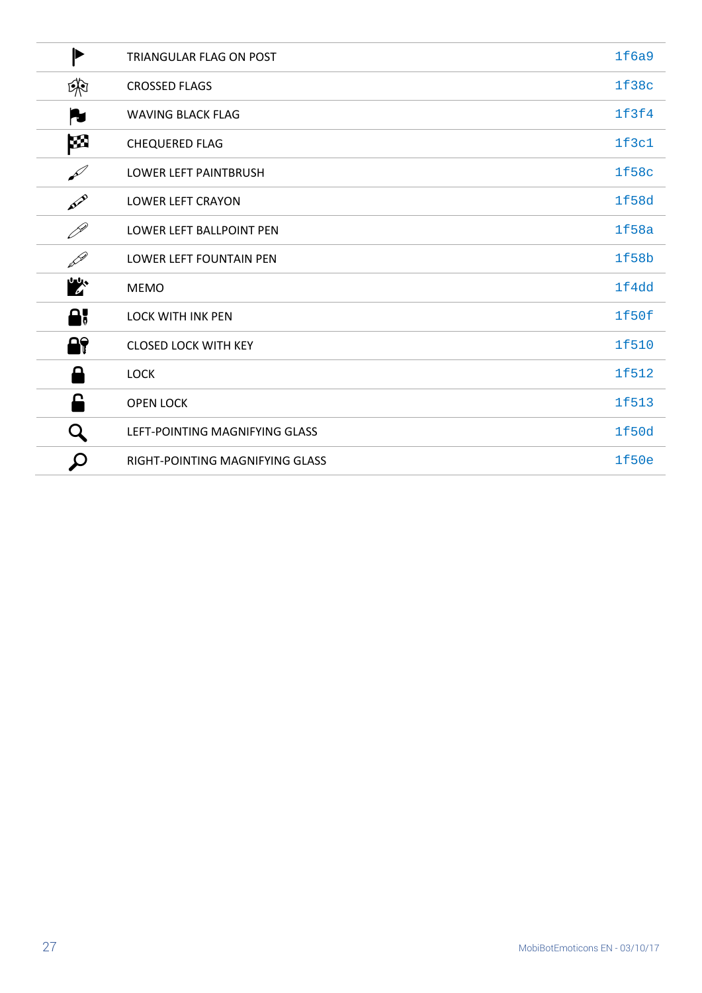| $\blacktriangleright$      | TRIANGULAR FLAG ON POST         | 1f6a9 |
|----------------------------|---------------------------------|-------|
| 第                          | <b>CROSSED FLAGS</b>            | 1f38c |
| N                          | <b>WAVING BLACK FLAG</b>        | 1f3f4 |
| M                          | <b>CHEQUERED FLAG</b>           | 1f3c1 |
| $\mathscr{L}$              | LOWER LEFT PAINTBRUSH           | 1f58c |
| AVE                        | <b>LOWER LEFT CRAYON</b>        | 1f58d |
| $\mathscr{P}$              | LOWER LEFT BALLPOINT PEN        | 1f58a |
| <b>DR</b>                  | LOWER LEFT FOUNTAIN PEN         | 1f58b |
| 吵                          | <b>MEMO</b>                     | 1f4dd |
| А,                         | <b>LOCK WITH INK PEN</b>        | 1f50f |
| 8                          | <b>CLOSED LOCK WITH KEY</b>     | 1f510 |
| Д                          | <b>LOCK</b>                     | 1f512 |
| £                          | <b>OPEN LOCK</b>                | 1f513 |
| Q                          | LEFT-POINTING MAGNIFYING GLASS  | 1f50d |
| $\boldsymbol{\mathcal{Q}}$ | RIGHT-POINTING MAGNIFYING GLASS | 1f50e |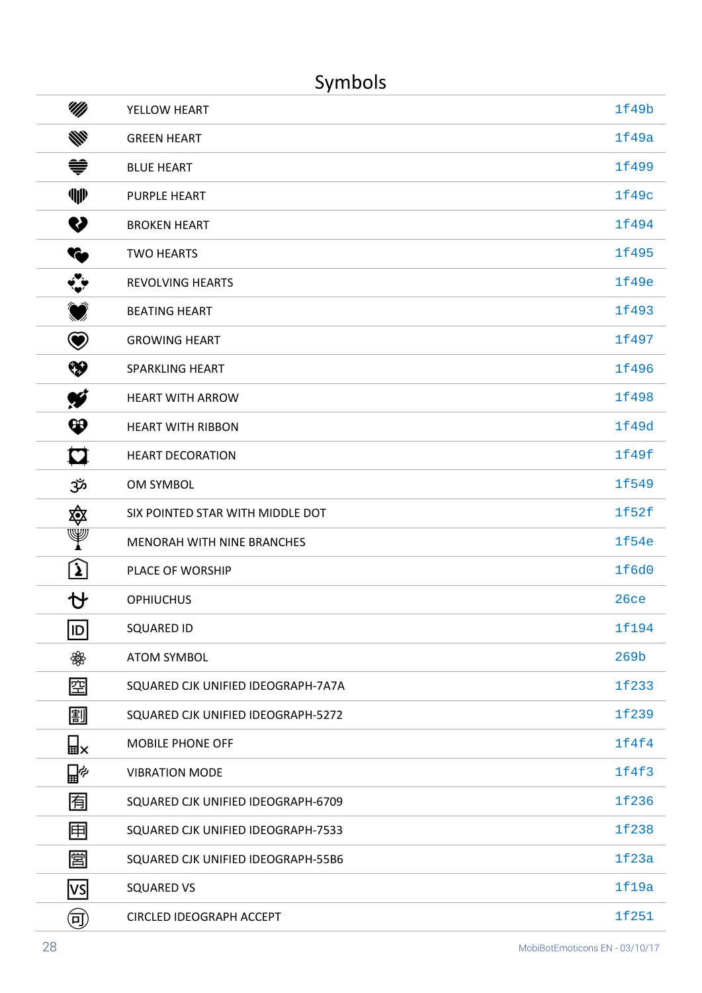## Symbols

| UM)              | YELLOW HEART                       | 1f49b            |
|------------------|------------------------------------|------------------|
| ₩                | <b>GREEN HEART</b>                 | 1f49a            |
| ♥                | <b>BLUE HEART</b>                  | 1f499            |
| ¶⊮               | <b>PURPLE HEART</b>                | 1f49c            |
| V                | <b>BROKEN HEART</b>                | 1f494            |
| ł.               | <b>TWO HEARTS</b>                  | 1f495            |
| $\ddot{\cdot}$   | <b>REVOLVING HEARTS</b>            | 1f49e            |
| $\bigcirc$       | <b>BEATING HEART</b>               | 1f493            |
| $\bm \Theta$     | <b>GROWING HEART</b>               | 1f497            |
| ❤                | <b>SPARKLING HEART</b>             | 1f496            |
| Ŵ                | <b>HEART WITH ARROW</b>            | 1f498            |
| $\bf \bm \omega$ | <b>HEART WITH RIBBON</b>           | 1f49d            |
| M                | <b>HEART DECORATION</b>            | 1f49f            |
| ೲگ               | OM SYMBOL                          | 1f549            |
| 傘                | SIX POINTED STAR WITH MIDDLE DOT   | 1f52f            |
| Y                | MENORAH WITH NINE BRANCHES         | 1f54e            |
| <u>र्भ</u>       | PLACE OF WORSHIP                   | 1f6d0            |
| Ŋ                | <b>OPHIUCHUS</b>                   | 26ce             |
| $ $ ID           | <b>SQUARED ID</b>                  | 1f194            |
| ₩                | <b>ATOM SYMBOL</b>                 | 269 <sub>b</sub> |
| 囶                | SQUARED CJK UNIFIED IDEOGRAPH-7A7A | 1f233            |
| 副                | SQUARED CJK UNIFIED IDEOGRAPH-5272 | 1f239            |
| W⊯               | <b>MOBILE PHONE OFF</b>            | 1f4f4            |
| ∐≁               | <b>VIBRATION MODE</b>              | 1f4f3            |
| 囿                | SQUARED CJK UNIFIED IDEOGRAPH-6709 | 1f236            |
| 囲                | SQUARED CJK UNIFIED IDEOGRAPH-7533 | 1f238            |
| 圁                | SQUARED CJK UNIFIED IDEOGRAPH-55B6 | 1f23a            |
| VS               | <b>SQUARED VS</b>                  | 1f19a            |
| 可                | CIRCLED IDEOGRAPH ACCEPT           | 1f251            |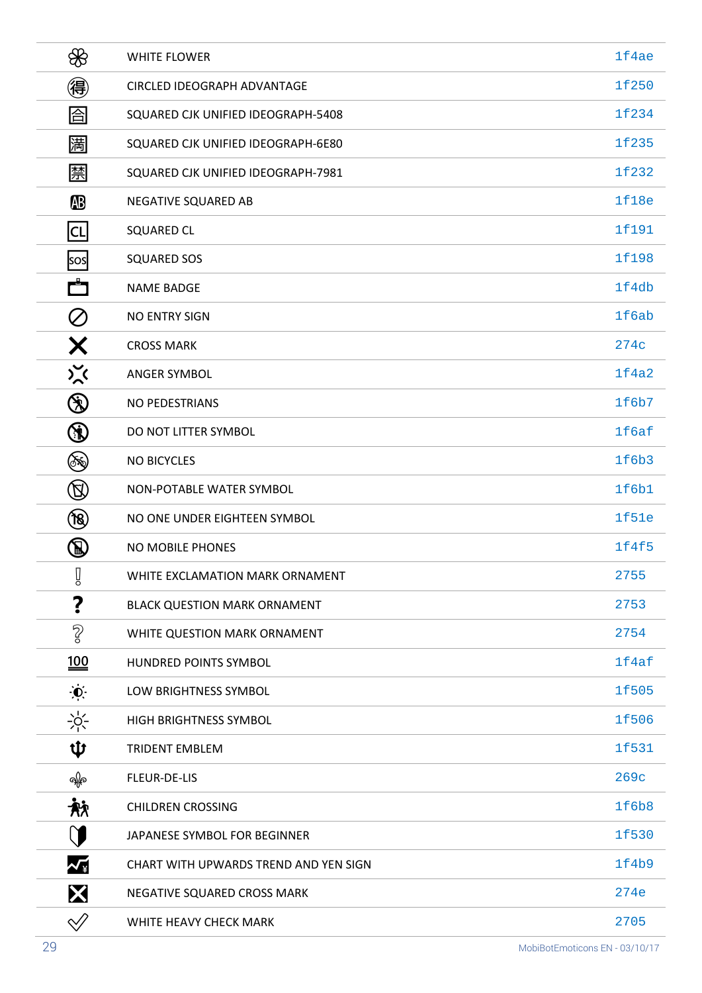| ₩                                                                                                              | <b>WHITE FLOWER</b>                   | 1f4ae |
|----------------------------------------------------------------------------------------------------------------|---------------------------------------|-------|
| 得                                                                                                              | <b>CIRCLED IDEOGRAPH ADVANTAGE</b>    | 1f250 |
| 囼                                                                                                              | SQUARED CJK UNIFIED IDEOGRAPH-5408    | 1f234 |
| 圌                                                                                                              | SQUARED CJK UNIFIED IDEOGRAPH-6E80    | 1f235 |
| 禁                                                                                                              | SQUARED CJK UNIFIED IDEOGRAPH-7981    | 1f232 |
| <b>AB</b>                                                                                                      | NEGATIVE SQUARED AB                   | 1f18e |
| $ {\sf CL} $                                                                                                   | <b>SQUARED CL</b>                     | 1f191 |
| sos                                                                                                            | <b>SQUARED SOS</b>                    | 1f198 |
| r٣                                                                                                             | <b>NAME BADGE</b>                     | 1f4db |
| $\oslash$                                                                                                      | <b>NO ENTRY SIGN</b>                  | 1f6ab |
| Х                                                                                                              | <b>CROSS MARK</b>                     | 274c  |
| $\sum_{\lambda}$                                                                                               | <b>ANGER SYMBOL</b>                   | 1f4a2 |
| $\circledast$                                                                                                  | NO PEDESTRIANS                        | 1f6b7 |
| $\circledR$                                                                                                    | DO NOT LITTER SYMBOL                  | 1f6af |
| ٤                                                                                                              | <b>NO BICYCLES</b>                    | 1f6b3 |
| $\circledR$                                                                                                    | NON-POTABLE WATER SYMBOL              | 1f6b1 |
| (18)                                                                                                           | NO ONE UNDER EIGHTEEN SYMBOL          | 1f51e |
| $\mathcal{B}% _{T}=\mathcal{A}_{T}\!\left( a,b\right) ,\ \mathcal{A}_{T}=\mathcal{A}_{T}\!\left( a,b\right) ,$ | NO MOBILE PHONES                      | 1f4f5 |
| Î                                                                                                              | WHITE EXCLAMATION MARK ORNAMENT       | 2755  |
| ?                                                                                                              | <b>BLACK QUESTION MARK ORNAMENT</b>   | 2753  |
| $\sqrt{2}$                                                                                                     | WHITE QUESTION MARK ORNAMENT          | 2754  |
| $\underline{100}$                                                                                              | HUNDRED POINTS SYMBOL                 | 1f4af |
| $\ddot{\bullet}$                                                                                               | LOW BRIGHTNESS SYMBOL                 | 1f505 |
| $-\frac{1}{2}C$                                                                                                | HIGH BRIGHTNESS SYMBOL                | 1f506 |
| ψ                                                                                                              | <b>TRIDENT EMBLEM</b>                 | 1f531 |
| ရနေ                                                                                                            | FLEUR-DE-LIS                          | 269c  |
| 袕                                                                                                              | <b>CHILDREN CROSSING</b>              | 1f6b8 |
| (T                                                                                                             | JAPANESE SYMBOL FOR BEGINNER          | 1f530 |
| ${\boldsymbol{\mathcal{N}}}_{\tt\#}$                                                                           | CHART WITH UPWARDS TREND AND YEN SIGN | 1f4b9 |
| X                                                                                                              | NEGATIVE SQUARED CROSS MARK           | 274e  |
| $\mathcal{\mathcal{Q}}$                                                                                        | WHITE HEAVY CHECK MARK                | 2705  |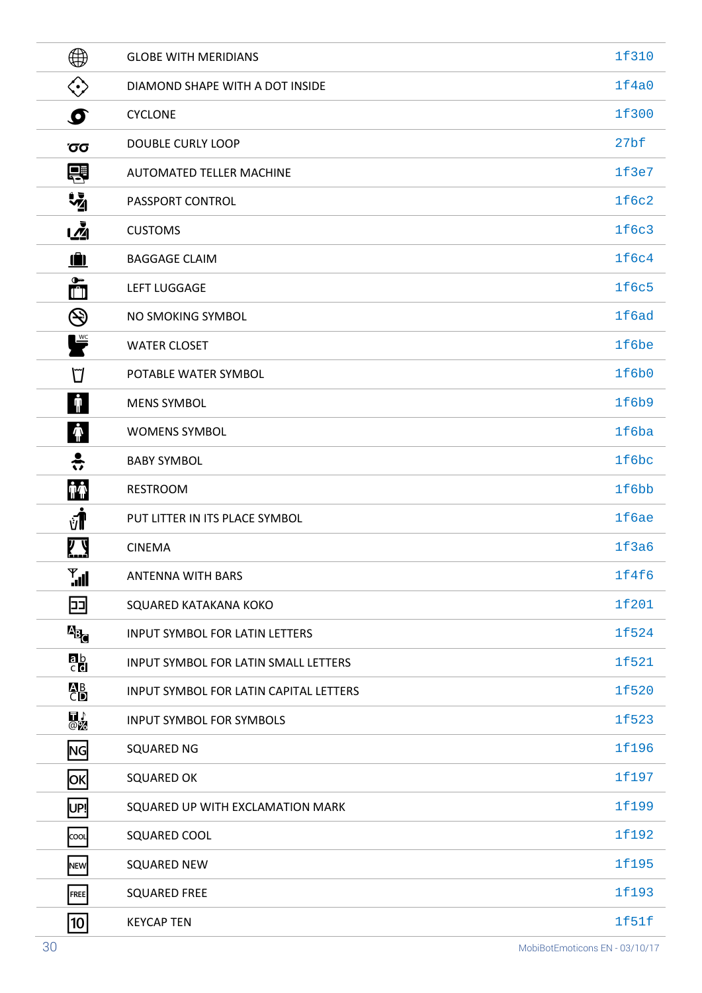| $\bigoplus$               | <b>GLOBE WITH MERIDIANS</b>            | 1f310            |
|---------------------------|----------------------------------------|------------------|
| $\langle \cdot \rangle$   | DIAMOND SHAPE WITH A DOT INSIDE        | 1f4a0            |
| $\boldsymbol{\sigma}$     | <b>CYCLONE</b>                         | 1f300            |
| Όσ                        | <b>DOUBLE CURLY LOOP</b>               | 27 <sub>bf</sub> |
| 导                         | AUTOMATED TELLER MACHINE               | 1f3e7            |
| $\frac{1}{2}$             | PASSPORT CONTROL                       | 1f6c2            |
| <u>เ∡ิ้</u>               | <b>CUSTOMS</b>                         | 1f6c3            |
| Ŵ                         | <b>BAGGAGE CLAIM</b>                   | 1f6c4            |
| $\tilde{\Box}$            | <b>LEFT LUGGAGE</b>                    | <b>1f6c5</b>     |
| $\bigcircledS$            | NO SMOKING SYMBOL                      | 1f6ad            |
| $\mathbf{F}$              | <b>WATER CLOSET</b>                    | 1f6be            |
| ℧                         | POTABLE WATER SYMBOL                   | 1f6b0            |
| $\mathbf{\hat{J}}$        | <b>MENS SYMBOL</b>                     | 1f6b9            |
| $\ddot{\mathbf{r}}$       | <b>WOMENS SYMBOL</b>                   | 1f6ba            |
| $\ddot{\ddot{\cdot}}$     | <b>BABY SYMBOL</b>                     | 1f6bc            |
| <b>TT</b>                 | <b>RESTROOM</b>                        | 1f6bb            |
| νT                        | PUT LITTER IN ITS PLACE SYMBOL         | 1f6ae            |
| <b>Z.Y</b>                | <b>CINEMA</b>                          | 1f3a6            |
| $\mathbf{Y}_{\mathbf{u}}$ | <b>ANTENNA WITH BARS</b>               | 1f4f6            |
| 며                         | SQUARED KATAKANA KOKO                  | 1f201            |
| <b>P</b> <sub>c</sub>     | <b>INPUT SYMBOL FOR LATIN LETTERS</b>  | 1f524            |
| $\frac{ab}{c}$            | INPUT SYMBOL FOR LATIN SMALL LETTERS   | 1f521            |
| <b>AB</b><br>CD           | INPUT SYMBOL FOR LATIN CAPITAL LETTERS | 1f520            |
| $\overline{\mathbb{Q}}$   | <b>INPUT SYMBOL FOR SYMBOLS</b>        | 1f523            |
| <b>NG</b>                 | <b>SQUARED NG</b>                      | 1f196            |
| <mark> ок</mark>          | <b>SQUARED OK</b>                      | 1f197            |
| UP!                       | SQUARED UP WITH EXCLAMATION MARK       | 1f199            |
| COOL                      | SQUARED COOL                           | 1f192            |
| NEW                       | <b>SQUARED NEW</b>                     | 1f195            |
| FREE                      | <b>SQUARED FREE</b>                    | 1f193            |
| 10                        | <b>KEYCAP TEN</b>                      | 1f51f            |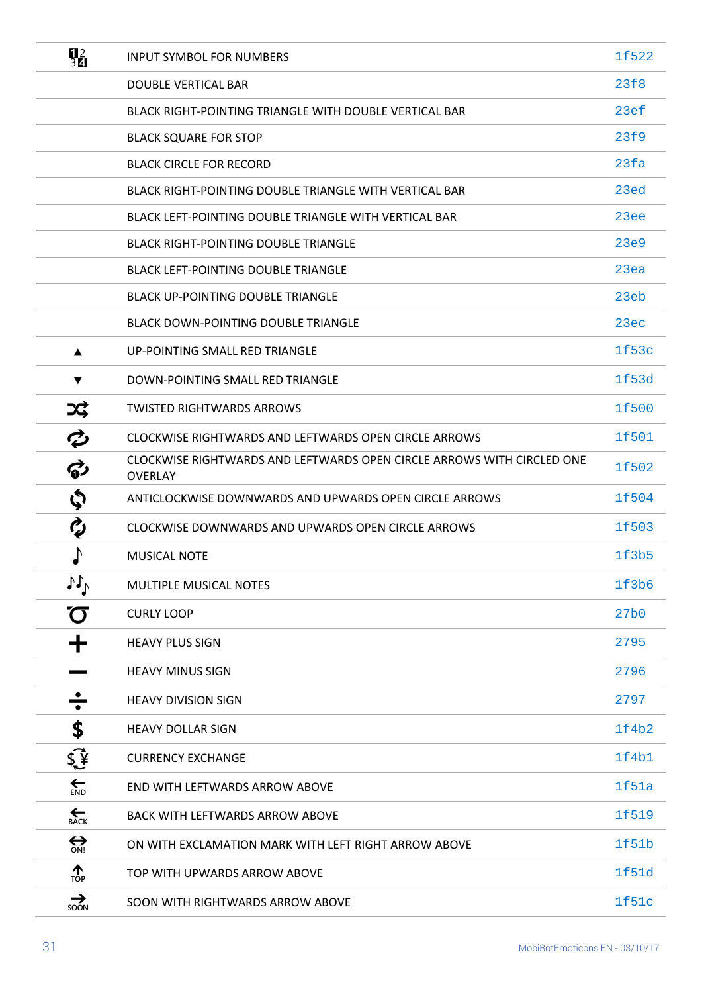| $\frac{12}{3}$                     | <b>INPUT SYMBOL FOR NUMBERS</b>                                                          | 1f522            |
|------------------------------------|------------------------------------------------------------------------------------------|------------------|
|                                    | <b>DOUBLE VERTICAL BAR</b>                                                               | 23f8             |
|                                    | BLACK RIGHT-POINTING TRIANGLE WITH DOUBLE VERTICAL BAR                                   | 23ef             |
|                                    | <b>BLACK SQUARE FOR STOP</b>                                                             | 23f9             |
|                                    | <b>BLACK CIRCLE FOR RECORD</b>                                                           | 23fa             |
|                                    | BLACK RIGHT-POINTING DOUBLE TRIANGLE WITH VERTICAL BAR                                   | 23ed             |
|                                    | BLACK LEFT-POINTING DOUBLE TRIANGLE WITH VERTICAL BAR                                    | 23ee             |
|                                    | <b>BLACK RIGHT-POINTING DOUBLE TRIANGLE</b>                                              | 23e9             |
|                                    | <b>BLACK LEFT-POINTING DOUBLE TRIANGLE</b>                                               | 23ea             |
|                                    | <b>BLACK UP-POINTING DOUBLE TRIANGLE</b>                                                 | 23eb             |
|                                    | <b>BLACK DOWN-POINTING DOUBLE TRIANGLE</b>                                               | 23ec             |
| ▲                                  | UP-POINTING SMALL RED TRIANGLE                                                           | 1f53c            |
| $\blacktriangledown$               | DOWN-POINTING SMALL RED TRIANGLE                                                         | 1f53d            |
| つく                                 | <b>TWISTED RIGHTWARDS ARROWS</b>                                                         | 1f500            |
| ¢                                  | CLOCKWISE RIGHTWARDS AND LEFTWARDS OPEN CIRCLE ARROWS                                    | 1f501            |
| ්                                  | CLOCKWISE RIGHTWARDS AND LEFTWARDS OPEN CIRCLE ARROWS WITH CIRCLED ONE<br><b>OVERLAY</b> | 1f502            |
| \$                                 | ANTICLOCKWISE DOWNWARDS AND UPWARDS OPEN CIRCLE ARROWS                                   | 1f504            |
| Ø                                  | CLOCKWISE DOWNWARDS AND UPWARDS OPEN CIRCLE ARROWS                                       | 1f503            |
| Þ                                  | <b>MUSICAL NOTE</b>                                                                      | 1f3b5            |
| 11 <sub>b</sub>                    | <b>MULTIPLE MUSICAL NOTES</b>                                                            | 1f3b6            |
| $\sigma$                           | <b>CURLY LOOP</b>                                                                        | 27 <sub>b0</sub> |
| ╈                                  | <b>HEAVY PLUS SIGN</b>                                                                   | 2795             |
|                                    | <b>HEAVY MINUS SIGN</b>                                                                  | 2796             |
|                                    | <b>HEAVY DIVISION SIGN</b>                                                               | 2797             |
| \$                                 | <b>HEAVY DOLLAR SIGN</b>                                                                 | 1f4b2            |
| $\oint \vec{\Psi}$                 | <b>CURRENCY EXCHANGE</b>                                                                 | 1f4b1            |
| $\sum_{END}$                       | END WITH LEFTWARDS ARROW ABOVE                                                           | 1f51a            |
| $\sum_{\text{BACK}}$               | <b>BACK WITH LEFTWARDS ARROW ABOVE</b>                                                   | 1f519            |
| $\bigoplus_{\text{ON}^{\text{I}}}$ | ON WITH EXCLAMATION MARK WITH LEFT RIGHT ARROW ABOVE                                     | 1f51b            |
| $\frac{1}{TOP}$                    | TOP WITH UPWARDS ARROW ABOVE                                                             | 1f51d            |
| $\sum_{SON}$                       | SOON WITH RIGHTWARDS ARROW ABOVE                                                         | 1f51c            |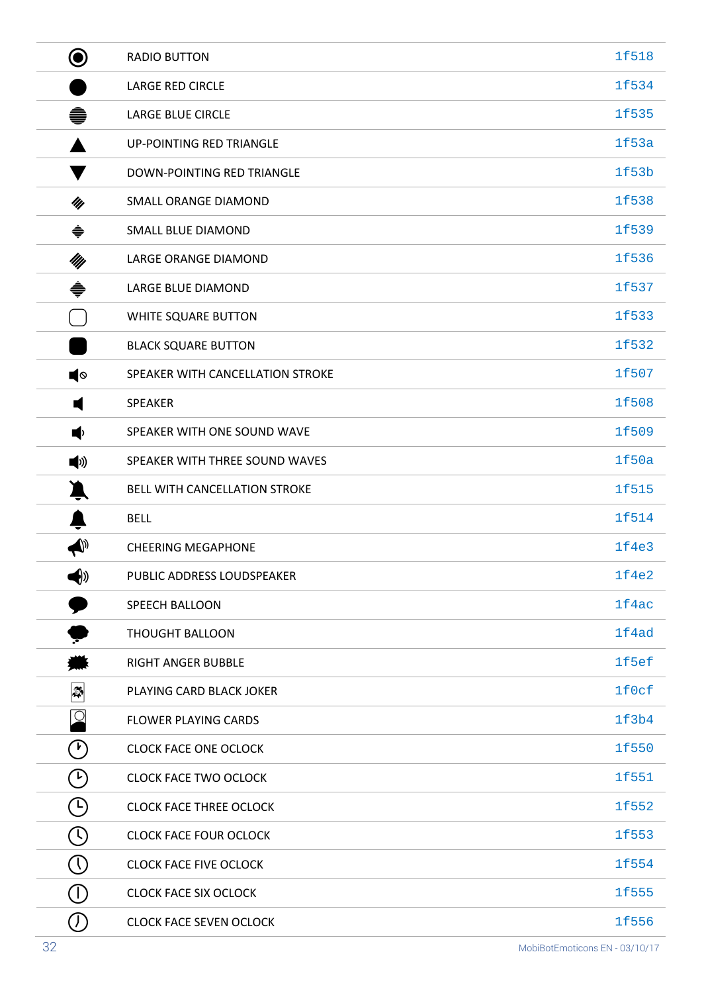| ◉                                                | <b>RADIO BUTTON</b>              | 1f518 |
|--------------------------------------------------|----------------------------------|-------|
|                                                  | <b>LARGE RED CIRCLE</b>          | 1f534 |
| ●                                                | LARGE BLUE CIRCLE                | 1f535 |
|                                                  | <b>UP-POINTING RED TRIANGLE</b>  | 1f53a |
|                                                  | DOWN-POINTING RED TRIANGLE       | 1f53b |
| My                                               | SMALL ORANGE DIAMOND             | 1f538 |
| ♦                                                | <b>SMALL BLUE DIAMOND</b>        | 1f539 |
| My                                               | LARGE ORANGE DIAMOND             | 1f536 |
| ♦                                                | LARGE BLUE DIAMOND               | 1f537 |
|                                                  | WHITE SQUARE BUTTON              | 1f533 |
|                                                  | <b>BLACK SQUARE BUTTON</b>       | 1f532 |
| ∎                                                | SPEAKER WITH CANCELLATION STROKE | 1f507 |
| ۷                                                | <b>SPEAKER</b>                   | 1f508 |
| (∎                                               | SPEAKER WITH ONE SOUND WAVE      | 1f509 |
| (∥)                                              | SPEAKER WITH THREE SOUND WAVES   | 1f50a |
|                                                  | BELL WITH CANCELLATION STROKE    | 1f515 |
|                                                  | <b>BELL</b>                      | 1f514 |
| $\blacklozenge$                                  | <b>CHEERING MEGAPHONE</b>        | 1f4e3 |
| (∜                                               | PUBLIC ADDRESS LOUDSPEAKER       | 1f4e2 |
|                                                  | <b>SPEECH BALLOON</b>            | 1f4ac |
|                                                  | <b>THOUGHT BALLOON</b>           | 1f4ad |
|                                                  | <b>RIGHT ANGER BUBBLE</b>        | 1f5ef |
| $\left  \boldsymbol{\mathbb{\mathbb{Z}}}\right $ | PLAYING CARD BLACK JOKER         | 1f0cf |
| $ {\mathcal Q} $                                 | <b>FLOWER PLAYING CARDS</b>      | 1f3b4 |
| $(\nu)$                                          | <b>CLOCK FACE ONE OCLOCK</b>     | 1f550 |
| $(\nu)$                                          | <b>CLOCK FACE TWO OCLOCK</b>     | 1f551 |
| $\left( 1\right)$                                | <b>CLOCK FACE THREE OCLOCK</b>   | 1f552 |
| $\left(\mathfrak{l}\right)$                      | <b>CLOCK FACE FOUR OCLOCK</b>    | 1f553 |
| $\left(\mathsf{I}\right)$                        | <b>CLOCK FACE FIVE OCLOCK</b>    | 1f554 |
| $(\mathsf{I})$                                   | <b>CLOCK FACE SIX OCLOCK</b>     | 1f555 |
| $\left( $                                        | <b>CLOCK FACE SEVEN OCLOCK</b>   | 1f556 |